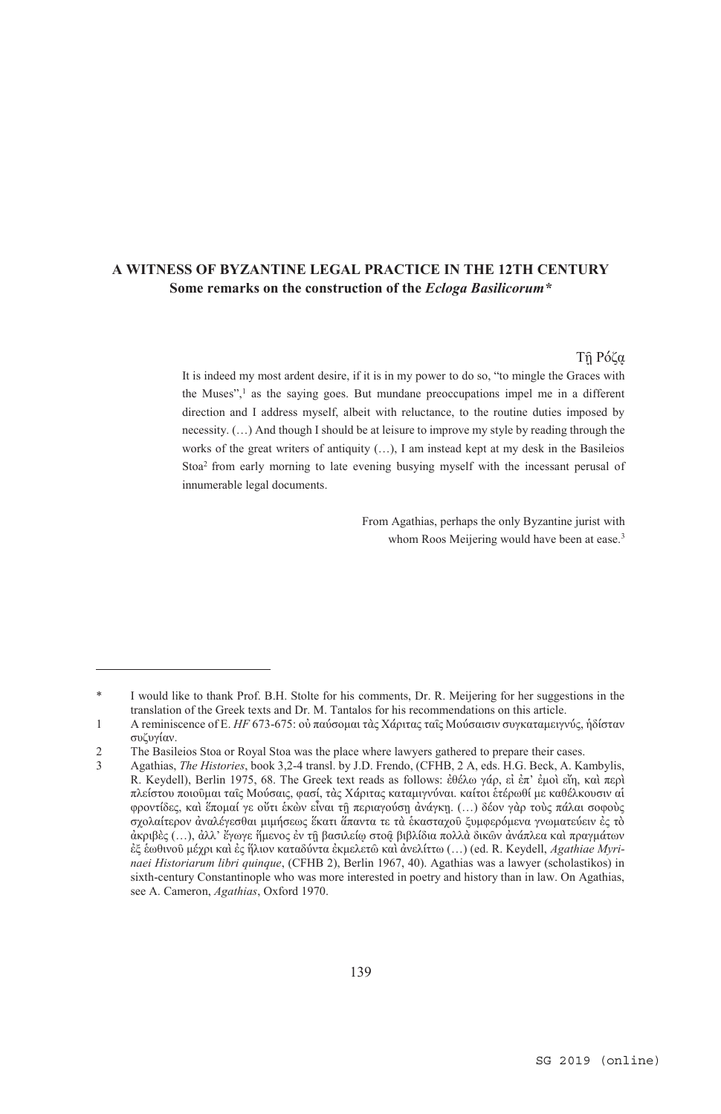# **A WITNESS OF BYZANTINE LEGAL PRACTICE IN THE 12TH CENTURY Some remarks on the construction of the** *Ecloga Basilicorum\**

## Tῇ Ρόζᾳ

It is indeed my most ardent desire, if it is in my power to do so, "to mingle the Graces with the Muses", $<sup>1</sup>$  as the saying goes. But mundane preoccupations impel me in a different</sup> direction and I address myself, albeit with reluctance, to the routine duties imposed by necessity. (…) And though I should be at leisure to improve my style by reading through the works of the great writers of antiquity  $(...)$ , I am instead kept at my desk in the Basileios Stoa2 from early morning to late evening busying myself with the incessant perusal of innumerable legal documents.

> From Agathias, perhaps the only Byzantine jurist with whom Roos Meijering would have been at ease.<sup>3</sup>

<sup>\*</sup> I would like to thank Prof. B.H. Stolte for his comments, Dr. R. Meijering for her suggestions in the translation of the Greek texts and Dr. M. Tantalos for his recommendations on this article.

<sup>1</sup> A reminiscence of E. *HF* 673-675: οὐ παύσομαι τὰς Χάριτας ταῖς Μούσαισιν συγκαταμειγνύς, ἡδίσταν συζυγίαν.

<sup>2</sup> The Basileios Stoa or Royal Stoa was the place where lawyers gathered to prepare their cases.

<sup>3</sup> Agathias, *The Histories*, book 3,2-4 transl. by J.D. Frendo, (CFHB, 2 A, eds. H.G. Beck, A. Kambylis, R. Keydell), Berlin 1975, 68. The Greek text reads as follows: ἐθέλω γάρ, εἰ ἐπ' ἐμοὶ εἴη, καὶ περὶ πλείστου ποιοῦμαι ταῖς Μούσαις, φασί, τὰς Χάριτας καταμιγνύναι. καίτοι ἑτέρωθί με καθέλκουσιν αἱ φροντίδες, καὶ ἕπομαί γε οὔτι ἑκὼν εἶναι τῇ περιαγούσῃ ἀνάγκῃ. (…) δέον γὰρ τοὺς πάλαι σοφοὺς σχολαίτερον ἀναλέγεσθαι μιμήσεως ἕκατι ἅπαντα τε τὰ ἑκασταχοῦ ξυμφερόμενα γνωματεύειν ἐς τὸ ἀκριβὲς (…), ἀλλ' ἔγωγε ἥμενος ἐν τῇ βασιλείῳ στοᾷ βιβλίδια πολλὰ δικῶν ἀνάπλεα καὶ πραγμάτων ἐξ ἑωθινοῦ μέχρι καὶ ἐς ἥλιον καταδύντα ἐκμελετῶ καὶ ἀνελίττω (…) (ed. R. Keydell, *Agathiae Myrinaei Historiarum libri quinque*, (CFHB 2), Berlin 1967, 40). Agathias was a lawyer (scholastikos) in sixth-century Constantinople who was more interested in poetry and history than in law. On Agathias, see A. Cameron, *Agathias*, Oxford 1970.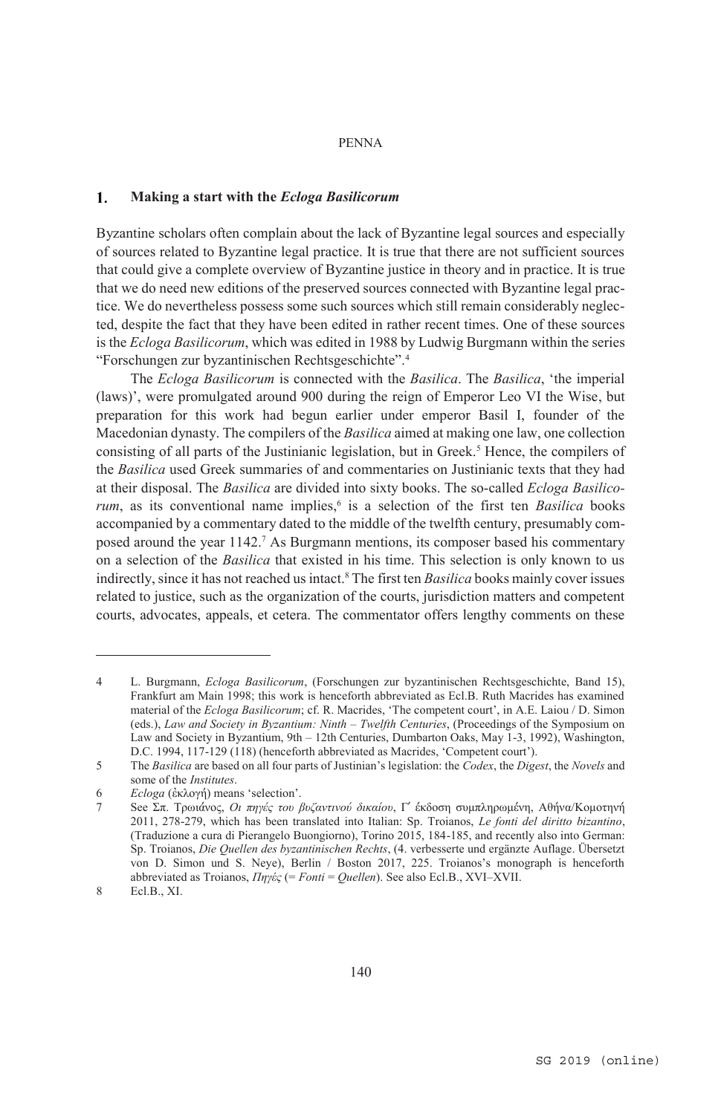### $\mathbf{1}$ . **Making a start with the** *Ecloga Basilicorum*

Byzantine scholars often complain about the lack of Byzantine legal sources and especially of sources related to Byzantine legal practice. It is true that there are not sufficient sources that could give a complete overview of Byzantine justice in theory and in practice. It is true that we do need new editions of the preserved sources connected with Byzantine legal practice. We do nevertheless possess some such sources which still remain considerably neglected, despite the fact that they have been edited in rather recent times. One of these sources is the *Ecloga Basilicorum*, which was edited in 1988 by Ludwig Burgmann within the series "Forschungen zur byzantinischen Rechtsgeschichte".4

The *Ecloga Basilicorum* is connected with the *Basilica*. The *Basilica*, 'the imperial (laws)', were promulgated around 900 during the reign of Emperor Leo VI the Wise, but preparation for this work had begun earlier under emperor Basil I, founder of the Macedonian dynasty. The compilers of the *Basilica* aimed at making one law, one collection consisting of all parts of the Justinianic legislation, but in Greek.<sup>5</sup> Hence, the compilers of the *Basilica* used Greek summaries of and commentaries on Justinianic texts that they had at their disposal. The *Basilica* are divided into sixty books. The so-called *Ecloga Basilicorum*, as its conventional name implies,<sup>6</sup> is a selection of the first ten *Basilica* books accompanied by a commentary dated to the middle of the twelfth century, presumably composed around the year 1142.7 As Burgmann mentions, its composer based his commentary on a selection of the *Basilica* that existed in his time. This selection is only known to us indirectly, since it has not reached us intact.8 The first ten *Basilica* books mainly cover issues related to justice, such as the organization of the courts, jurisdiction matters and competent courts, advocates, appeals, et cetera. The commentator offers lengthy comments on these

<sup>4</sup> L. Burgmann, *Ecloga Basilicorum*, (Forschungen zur byzantinischen Rechtsgeschichte, Band 15), Frankfurt am Main 1998; this work is henceforth abbreviated as Ecl.B. Ruth Macrides has examined material of the *Ecloga Basilicorum*; cf. R. Macrides, 'The competent court', in A.E. Laiou / D. Simon (eds.), *Law and Society in Byzantium: Ninth – Twelfth Centuries*, (Proceedings of the Symposium on Law and Society in Byzantium, 9th – 12th Centuries, Dumbarton Oaks, May 1-3, 1992), Washington, D.C. 1994, 117-129 (118) (henceforth abbreviated as Macrides, 'Competent court').

<sup>5</sup> The *Basilica* are based on all four parts of Justinian's legislation: the *Codex*, the *Digest*, the *Novels* and some of the *Institutes*.

<sup>6</sup> *Ecloga* (ἐκλογή) means 'selection'.

<sup>7</sup> See Σπ. Τρωιάνος, *Οι πηγές του βυζαντινού δικαίου*, Γ´ έκδοση συμπληρωμένη, Αθήνα/Κομοτηνή 2011, 278-279, which has been translated into Italian: Sp. Troianos, *Le fonti del diritto bizantino*, (Traduzione a cura di Pierangelo Buongiorno), Torino 2015, 184-185, and recently also into German: Sp. Troianos, *Die Quellen des byzantinischen Rechts*, (4. verbesserte und ergänzte Auflage. Übersetzt von D. Simon und S. Neye), Berlin / Boston 2017, 225. Troianos's monograph is henceforth abbreviated as Troianos, *Πηγές* (= *Fonti* = *Quellen*). See also Ecl.B., XVI–XVII.

<sup>8</sup> Ecl.B., XI.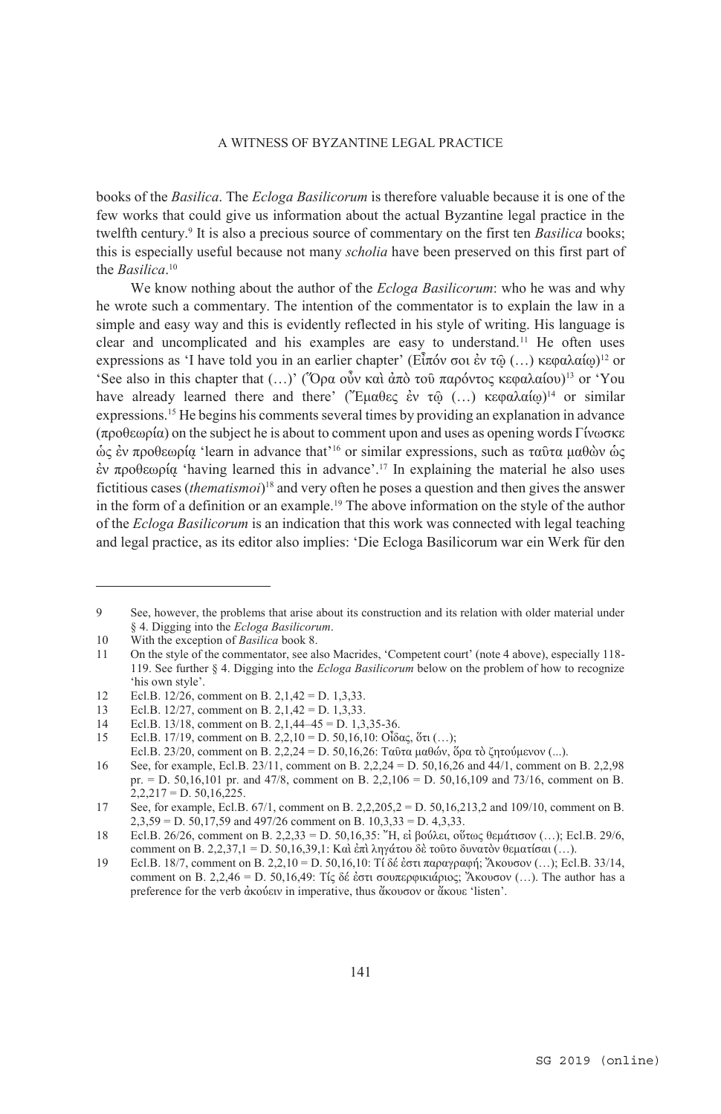books of the *Basilica*. The *Ecloga Basilicorum* is therefore valuable because it is one of the few works that could give us information about the actual Byzantine legal practice in the twelfth century.9 It is also a precious source of commentary on the first ten *Basilica* books; this is especially useful because not many *scholia* have been preserved on this first part of the *Basilica*. 10

We know nothing about the author of the *Ecloga Basilicorum*: who he was and why he wrote such a commentary. The intention of the commentator is to explain the law in a simple and easy way and this is evidently reflected in his style of writing. His language is clear and uncomplicated and his examples are easy to understand.11 He often uses expressions as 'I have told you in an earlier chapter' (Εἶπόν σοι ἐν τῶ (...) κεφαλαίω)<sup>12</sup> or 'See also in this chapter that (...)' ("Όρα οὖν καὶ ἀπὸ τοῦ παρόντος κεφαλαίου)<sup>13</sup> or 'You have already learned there and there' ("Έμαθες ἐν τῶ (...) κεφαλαίω)<sup>14</sup> or similar expressions.15 He begins his comments several times by providing an explanation in advance (προθεωρία) on the subject he is about to comment upon and uses as opening words Γίνωσκε ὡς ἐν προθεωρίᾳ 'learn in advance that'16 or similar expressions, such as ταῦτα μαθὼν ὡς ἐν προθεωρίᾳ 'having learned this in advance'.17 In explaining the material he also uses fictitious cases (*thematismoi*) 18 and very often he poses a question and then gives the answer in the form of a definition or an example.19 The above information on the style of the author of the *Ecloga Basilicorum* is an indication that this work was connected with legal teaching and legal practice, as its editor also implies: 'Die Ecloga Basilicorum war ein Werk für den

<sup>9</sup> See, however, the problems that arise about its construction and its relation with older material under § 4. Digging into the *Ecloga Basilicorum*.

<sup>10</sup> With the exception of *Basilica* book 8.

<sup>11</sup> On the style of the commentator, see also Macrides, 'Competent court' (note 4 above), especially 118- 119. See further § 4. Digging into the *Ecloga Basilicorum* below on the problem of how to recognize 'his own style'.

<sup>12</sup> Ecl.B. 12/26, comment on B. 2, 1, 42 = D. 1, 3, 33.

<sup>13</sup> Ecl.B. 12/27, comment on B. 2,1,42 = D. 1,3,33.

<sup>14</sup> Ecl.B. 13/18, comment on B. 2,1,44–45 = D. 1,3,35-36.

<sup>15</sup> Ecl.B. 17/19, comment on B. 2,2,10 = D. 50,16,10: Οἶδας, ὅτι (...);

Ecl.B. 23/20, comment on B. 2,2,24 = D. 50,16,26: Ταῦτα μαθών, ὅρα τὸ ζητούμενον (...).

<sup>16</sup> See, for example, Ecl.B. 23/11, comment on B. 2,2,24 = D. 50,16,26 and 44/1, comment on B. 2,2,98 pr. = D. 50,16,101 pr. and 47/8, comment on B. 2,2,106 = D. 50,16,109 and 73/16, comment on B.  $2,2,217 = D.50,16,225.$ 

<sup>17</sup> See, for example, Ecl.B. 67/1, comment on B. 2,2,205,2 = D. 50,16,213,2 and 109/10, comment on B.  $2,3,59 = D$ ,  $50,17,59$  and  $497/26$  comment on B,  $10,3,33 = D$ ,  $4,3,33$ .

<sup>18</sup> Ecl.B. 26/26, comment on B. 2,2,33 = D. 50,16,35: Ἤ, εἰ βούλει, οὕτως θεμάτισον (…); Ecl.B. 29/6, comment on B. 2,2,37,1 = D. 50,16,39,1: Καὶ ἐπὶ ληγάτου δὲ τοῦτο δυνατὸν θεματίσαι (…).

<sup>19</sup> Ecl.B. 18/7, comment on B. 2,2,10 = D. 50,16,10: Τί δέ ἐστι παραγραφή; Ἄκουσον (…); Ecl.B. 33/14, comment on B. 2,2,46 = D. 50,16,49: Τίς δέ ἐστι σουπερφικιάριος; Ἄκουσον (…). The author has a preference for the verb ἀκούειν in imperative, thus ἄκουσον or ἄκουε 'listen'.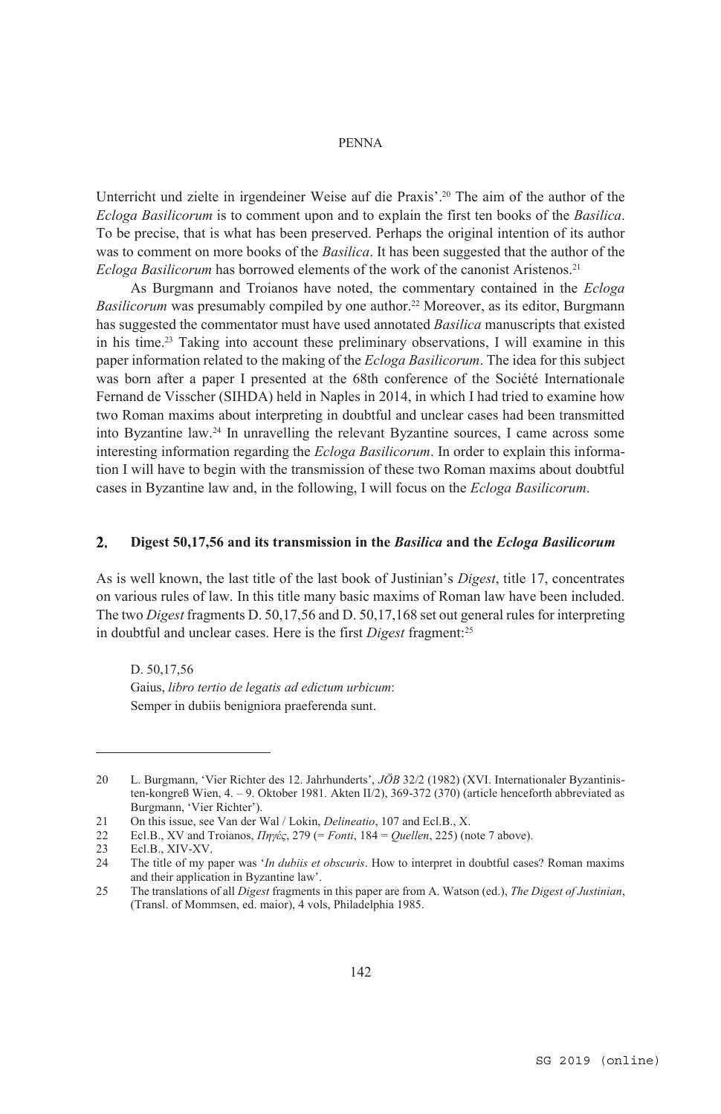Unterricht und zielte in irgendeiner Weise auf die Praxis'.20 The aim of the author of the *Ecloga Basilicorum* is to comment upon and to explain the first ten books of the *Basilica*. To be precise, that is what has been preserved. Perhaps the original intention of its author was to comment on more books of the *Basilica*. It has been suggested that the author of the *Ecloga Basilicorum* has borrowed elements of the work of the canonist Aristenos.<sup>21</sup>

As Burgmann and Troianos have noted, the commentary contained in the *Ecloga Basilicorum* was presumably compiled by one author.22 Moreover, as its editor, Burgmann has suggested the commentator must have used annotated *Basilica* manuscripts that existed in his time.23 Taking into account these preliminary observations, I will examine in this paper information related to the making of the *Ecloga Basilicorum*. The idea for this subject was born after a paper I presented at the 68th conference of the Société Internationale Fernand de Visscher (SIHDA) held in Naples in 2014, in which I had tried to examine how two Roman maxims about interpreting in doubtful and unclear cases had been transmitted into Byzantine law.24 In unravelling the relevant Byzantine sources, I came across some interesting information regarding the *Ecloga Basilicorum*. In order to explain this information I will have to begin with the transmission of these two Roman maxims about doubtful cases in Byzantine law and, in the following, I will focus on the *Ecloga Basilicorum*.

### $2.$ **Digest 50,17,56 and its transmission in the** *Basilica* **and the** *Ecloga Basilicorum*

As is well known, the last title of the last book of Justinian's *Digest*, title 17, concentrates on various rules of law. In this title many basic maxims of Roman law have been included. The two *Digest* fragments D. 50,17,56 and D. 50,17,168 set out general rules for interpreting in doubtful and unclear cases. Here is the first *Digest* fragment:25

D. 50,17,56 Gaius, *libro tertio de legatis ad edictum urbicum*: Semper in dubiis benigniora praeferenda sunt.

<sup>20</sup> L. Burgmann, 'Vier Richter des 12. Jahrhunderts', *JÖB* 32/2 (1982) (XVI. Internationaler Byzantinisten-kongreß Wien, 4. – 9. Oktober 1981*.* Akten II/2), 369-372 (370) (article henceforth abbreviated as Burgmann, 'Vier Richter').

<sup>21</sup> On this issue, see Van der Wal / Lokin, *Delineatio*, 107 and Ecl.B., X.

<sup>22</sup> Ecl.B., XV and Troianos, *Πηγές*, 279 (= *Fonti*, 184 = *Quellen*, 225) (note 7 above).

<sup>23</sup> Ecl.B., XIV-XV.<br>24 The title of my n

<sup>24</sup> The title of my paper was '*In dubiis et obscuris*. How to interpret in doubtful cases? Roman maxims and their application in Byzantine law'.

<sup>25</sup> The translations of all *Digest* fragments in this paper are from A. Watson (ed.), *The Digest of Justinian*, (Transl. of Mommsen, ed. maior), 4 vols, Philadelphia 1985.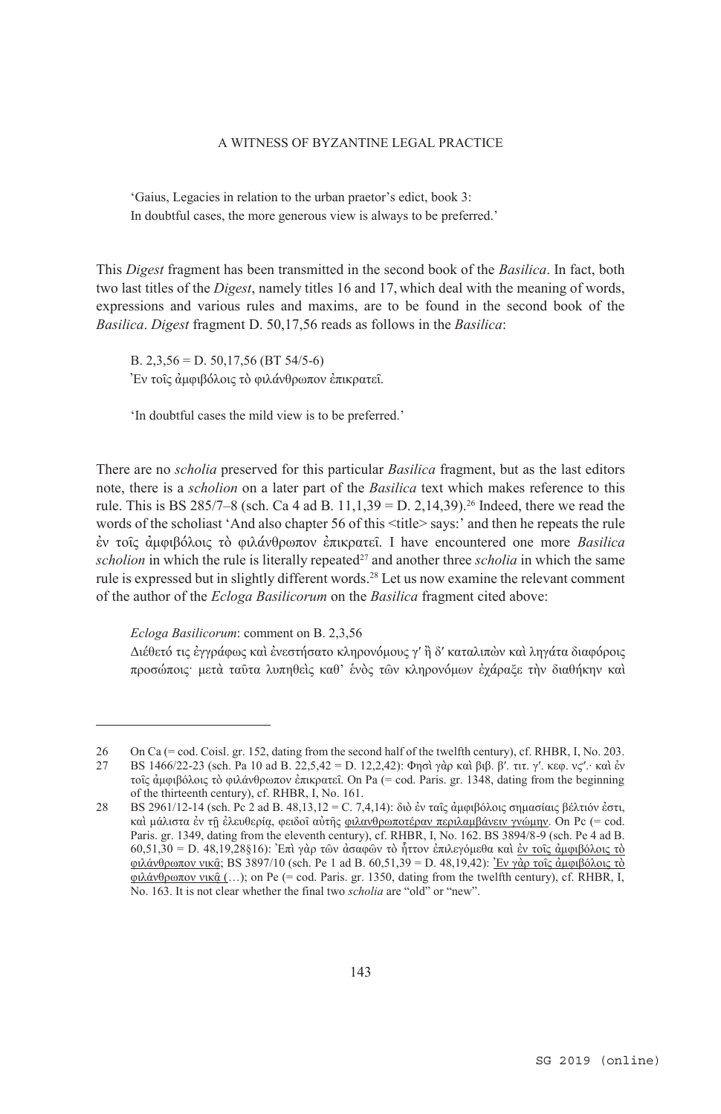'Gaius, Legacies in relation to the urban praetor's edict, book 3: In doubtful cases, the more generous view is always to be preferred.'

This *Digest* fragment has been transmitted in the second book of the *Basilica*. In fact, both two last titles of the *Digest*, namely titles 16 and 17, which deal with the meaning of words, expressions and various rules and maxims, are to be found in the second book of the *Basilica*. *Digest* fragment D. 50,17,56 reads as follows in the *Basilica*:

B. 2,3,56 = D. 50,17,56 (BT 54/5-6) Ἐν τοῖς ἀμφιβόλοις τὸ φιλάνθρωπον ἐπικρατεῖ.

'In doubtful cases the mild view is to be preferred.'

There are no *scholia* preserved for this particular *Basilica* fragment, but as the last editors note, there is a *scholion* on a later part of the *Basilica* text which makes reference to this rule. This is BS 285/7–8 (sch. Ca 4 ad B. 11,1,39 = D. 2,14,39).<sup>26</sup> Indeed, there we read the words of the scholiast 'And also chapter 56 of this <title> says:' and then he repeats the rule ἐν τοῖς ἀμφιβόλοις τὸ φιλάνθρωπον ἐπικρατεῖ. I have encountered one more *Basilica*  $scholion$  in which the rule is literally repeated<sup>27</sup> and another three  $scholia$  in which the same rule is expressed but in slightly different words.28 Let us now examine the relevant comment of the author of the *Ecloga Basilicorum* on the *Basilica* fragment cited above:

*Ecloga Basilicorum*: comment on B. 2,3,56

 $\overline{a}$ 

Διέθετό τις ἐγγράφως καὶ ἐνεστήσατο κληρονόμους γʹ ἢ δʹ καταλιπὼν καὶ ληγάτα διαφόροις προσώποις· μετὰ ταῦτα λυπηθεὶς καθ' ἑνὸς τῶν κληρονόμων ἐχάραξε τὴν διαθήκην καὶ

<sup>26</sup> On Ca (= cod. Coisl. gr. 152, dating from the second half of the twelfth century), cf. RHBR, I, No. 203. 27 BS 1466/22-23 (sch. Pa 10 ad B. 22,5,42 = D. 12,2,42): Φησὶ γὰρ καὶ βιβ. βʹ. τιτ. γʹ. κεφ. νϛʹ.· καὶ ἐν τοῖς ἀμφιβόλοις τὸ φιλάνθρωπον ἐπικρατεῖ. On Pa (= cod. Paris. gr. 1348, dating from the beginning of the thirteenth century), cf. RHBR, I, No. 161.

<sup>28</sup> BS 2961/12-14 (sch. Pc 2 ad B. 48,13,12 = C. 7,4,14): διὸ ἐν ταῖς ἀμφιβόλοις σημασίαις βέλτιόν ἐστι, καὶ μάλιστα ἐν τῇ ἐλευθερία, φειδοῖ αὐτῆς φιλανθρωποτέραν περιλαμβάνειν γνώμην. On Pc (= cod. Paris. gr. 1349, dating from the eleventh century), cf. RHBR, I, No. 162. BS 3894/8-9 (sch. Pe 4 ad B. 60,51,30 = D. 48,19,28§16): Ἐπὶ γὰρ τῶν ἀσαφῶν τὸ ἧττον ἐπιλεγόμεθα καὶ ἐν τοῖς ἀμφιβόλοις τὸ φιλάνθρωπον νικ $\hat{q}$ ; BS 3897/10 (sch. Pe 1 ad B. 60,51,39 = D. 48,19,42): Έν γὰρ τοῖς ἀμφιβόλοις τὸ φιλάνθρωπον νικ $\hat{a}$  (...); on Pe (= cod. Paris. gr. 1350, dating from the twelfth century), cf. RHBR, I, No. 163. It is not clear whether the final two *scholia* are "old" or "new".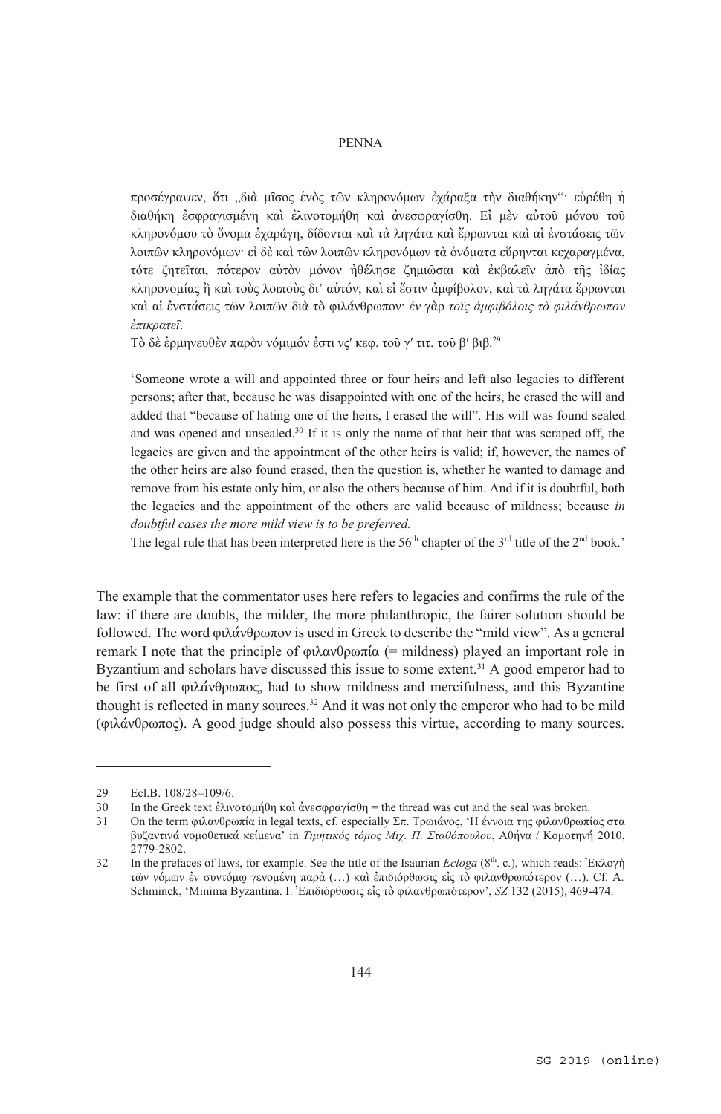προσέγραψεν, ὅτι "διὰ μῖσος ἑνὸς τῶν κληρονόμων ἐχάραξα τὴν διαθήκην"· εὑρέθη ἡ διαθήκη ἐσφραγισμένη καὶ ἐλινοτομήθη καὶ ἀνεσφραγίσθη. Εἰ μὲν αὐτοῦ μόνου τοῦ κληρονόμου τὸ ὄνομα ἐχαράγη, δίδονται καὶ τὰ ληγάτα καὶ ἔρρωνται καὶ αἱ ἐνστάσεις τῶν λοιπῶν κληρονόμων· εἰ δὲ καὶ τῶν λοιπῶν κληρονόμων τὰ ὀνόματα εὕρηνται κεχαραγμένα, τότε ζητεῖται, πότερον αὐτὸν μόνον ἠθέλησε ζημιῶσαι καὶ ἐκβαλεῖν ἀπὸ τῆς ἰδίας κληρονομίας ἢ καὶ τοὺς λοιποὺς δι' αὐτόν; καὶ εἰ ἔστιν ἀμφίβολον, καὶ τὰ ληγάτα ἔρρωνται καὶ αἱ ἐνστάσεις τῶν λοιπῶν διὰ τὸ φιλάνθρωπον· *ἐν* γὰρ *τοῖς ἀμφιβόλοις τὸ φιλάνθρωπον ἐπικρατεῖ*.

Τὸ δὲ ἑρμηνευθὲν παρὸν νόμιμόν ἐστι νςʹ κεφ. τοῦ γʹ τιτ. τοῦ βʹ βιβ. 29

'Someone wrote a will and appointed three or four heirs and left also legacies to different persons; after that, because he was disappointed with one of the heirs, he erased the will and added that "because of hating one of the heirs, I erased the will". His will was found sealed and was opened and unsealed.<sup>30</sup> If it is only the name of that heir that was scraped off, the legacies are given and the appointment of the other heirs is valid; if, however, the names of the other heirs are also found erased, then the question is, whether he wanted to damage and remove from his estate only him, or also the others because of him. And if it is doubtful, both the legacies and the appointment of the others are valid because of mildness; because *in doubtful cases the more mild view is to be preferred.* 

The legal rule that has been interpreted here is the  $56<sup>th</sup>$  chapter of the  $3<sup>rd</sup>$  title of the  $2<sup>nd</sup>$  book.'

The example that the commentator uses here refers to legacies and confirms the rule of the law: if there are doubts, the milder, the more philanthropic, the fairer solution should be followed. The word φιλάνθρωπον is used in Greek to describe the "mild view". As a general remark I note that the principle of φιλανθρωπία (= mildness) played an important role in Byzantium and scholars have discussed this issue to some extent.31 A good emperor had to be first of all φιλάνθρωπος, had to show mildness and mercifulness, and this Byzantine thought is reflected in many sources.<sup>32</sup> And it was not only the emperor who had to be mild (φιλάνθρωπος). A good judge should also possess this virtue, according to many sources.

<sup>29</sup> Ecl.B. 108/28-109/6.<br>30 In the Greek text ελιν

In the Greek text ἐλινοτομήθη καὶ ἀνεσφραγίσθη = the thread was cut and the seal was broken.

<sup>31</sup> On the term φιλανθρωπία in legal texts, cf. especially Σπ. Τρωιάνος, 'Η έννοια της φιλανθρωπίας στα βυζαντινά νομοθετικά κείμενα' in *Τιμητικός τόμος Μιχ. Π. Σταθόπουλου*, Αθήνα / Κομοτηνή 2010, 2779-2802.

<sup>32</sup> In the prefaces of laws, for example. See the title of the Isaurian *Ecloga* (8th. c.), which reads: Ἐκλογὴ τῶν νόμων ἐν συντόμῳ γενομένη παρὰ (…) καὶ ἐπιδιόρθωσις εἰς τὸ φιλανθρωπότερον (…). Cf. A. Schminck, 'Minima Byzantina. I. Ἐπιδιόρθωσις εἰς τὸ φιλανθρωπότερον', *SZ* 132 (2015), 469-474.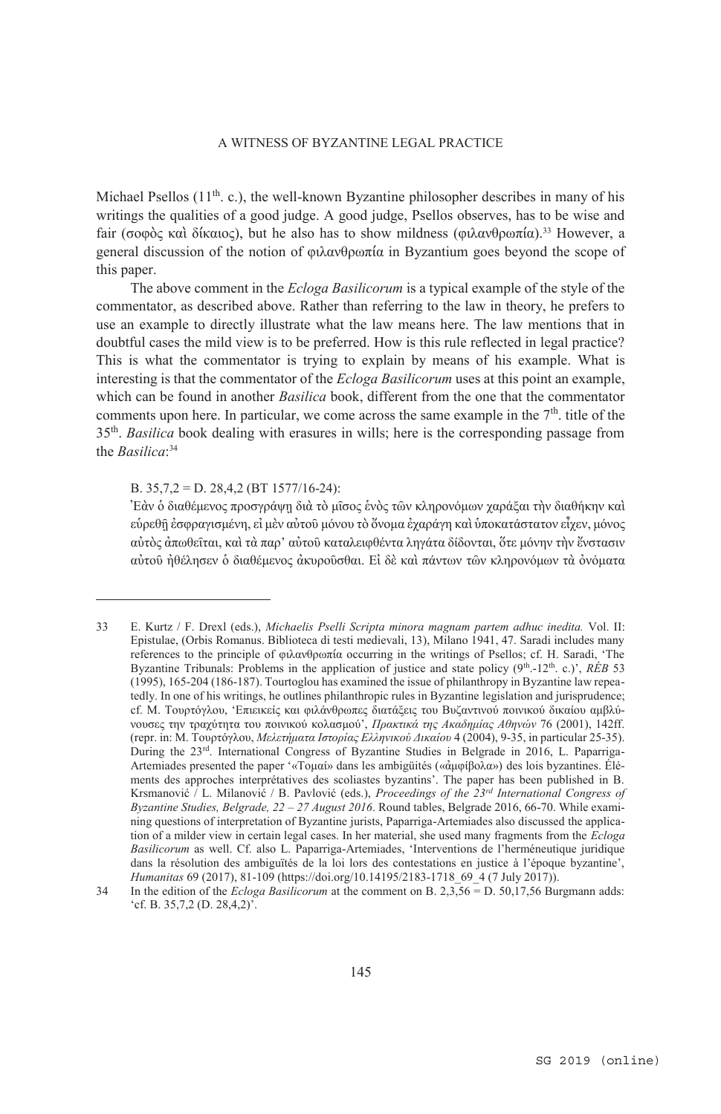Michael Psellos  $(11<sup>th</sup>, c)$ , the well-known Byzantine philosopher describes in many of his writings the qualities of a good judge. A good judge, Psellos observes, has to be wise and fair (σοφὸς καὶ δίκαιος), but he also has to show mildness (φιλανθρωπία).33 However, a general discussion of the notion of φιλανθρωπία in Byzantium goes beyond the scope of this paper.

The above comment in the *Ecloga Basilicorum* is a typical example of the style of the commentator, as described above. Rather than referring to the law in theory, he prefers to use an example to directly illustrate what the law means here. The law mentions that in doubtful cases the mild view is to be preferred. How is this rule reflected in legal practice? This is what the commentator is trying to explain by means of his example. What is interesting is that the commentator of the *Ecloga Basilicorum* uses at this point an example, which can be found in another *Basilica* book, different from the one that the commentator comments upon here. In particular, we come across the same example in the  $7<sup>th</sup>$ , title of the 35th. *Basilica* book dealing with erasures in wills; here is the corresponding passage from the *Basilica*: 34

B. 35,7,2 = D. 28,4,2 (BT 1577/16-24):

 $\overline{a}$ 

Ἐὰν ὁ διαθέμενος προσγράψῃ διὰ τὸ μῖσος ἑνὸς τῶν κληρονόμων χαράξαι τὴν διαθήκην καὶ εὑρεθῇ ἐσφραγισμένη, εἰ μὲν αὐτοῦ μόνου τὸ ὄνομα ἐχαράγη καὶ ὑποκατάστατον εἶχεν, μόνος αὐτὸς ἀπωθεῖται, καὶ τὰ παρ' αὐτοῦ καταλειφθέντα ληγάτα δίδονται, ὅτε μόνην τὴν ἔνστασιν αὐτοῦ ἠθέλησεν ὁ διαθέμενος ἀκυροῦσθαι. Εἰ δὲ καὶ πάντων τῶν κληρονόμων τὰ ὀνόματα

<sup>33</sup> E. Kurtz / F. Drexl (eds.), *Michaelis Pselli Scripta minora magnam partem adhuc inedita.* Vol. II: Epistulae, (Orbis Romanus. Biblioteca di testi medievali, 13), Milano 1941, 47. Saradi includes many references to the principle of φιλανθρωπία occurring in the writings of Psellos; cf. H. Saradi, 'The Byzantine Tribunals: Problems in the application of justice and state policy (9<sup>th</sup>.-12<sup>th</sup>. c.)', *RÉB* 53 (1995), 165-204 (186-187). Tourtoglou has examined the issue of philanthropy in Byzantine law repeatedly. In one of his writings, he outlines philanthropic rules in Byzantine legislation and jurisprudence; cf. Μ. Τουρτόγλου, 'Επιεικείς και φιλάνθρωπες διατάξεις του Βυζαντινού ποινικού δικαίου αμβλύνουσες την τραχύτητα του ποινικού κολασμού', *Πρακτικά της Ακαδημίας Αθηνών* 76 (2001), 142ff. (repr. in: Μ. Τουρτόγλου, *Μελετήματα Ιστορίας Ελληνικού Δικαίου* 4 (2004), 9-35, in particular 25-35). During the 23rd. International Congress of Byzantine Studies in Belgrade in 2016, L. Paparriga-Artemiades presented the paper '«Tομαί» dans les ambigüités («ἀμφίβολα») des lois byzantines. Éléments des approches interprétatives des scoliastes byzantins'. The paper has been published in B. Krsmanović / L. Milanović / B. Pavlović (eds.), *Proceedings of the 23rd International Congress of Byzantine Studies, Belgrade, 22 – 27 August 2016*. Round tables, Belgrade 2016, 66-70. While examining questions of interpretation of Byzantine jurists, Paparriga-Artemiades also discussed the application of a milder view in certain legal cases. In her material, she used many fragments from the *Ecloga Basilicorum* as well. Cf. also L. Paparriga-Artemiades, 'Interventions de l'herméneutique juridique dans la résolution des ambiguïtés de la loi lors des contestations en justice à l'époque byzantine', *Humanitas* 69 (2017), 81-109 (https://doi.org/10.14195/2183-1718\_69\_4 (7 July 2017)).

<sup>34</sup> In the edition of the *Ecloga Basilicorum* at the comment on B. 2,3,56 = D. 50,17,56 Burgmann adds: 'cf. B. 35,7,2 (D. 28,4,2)'.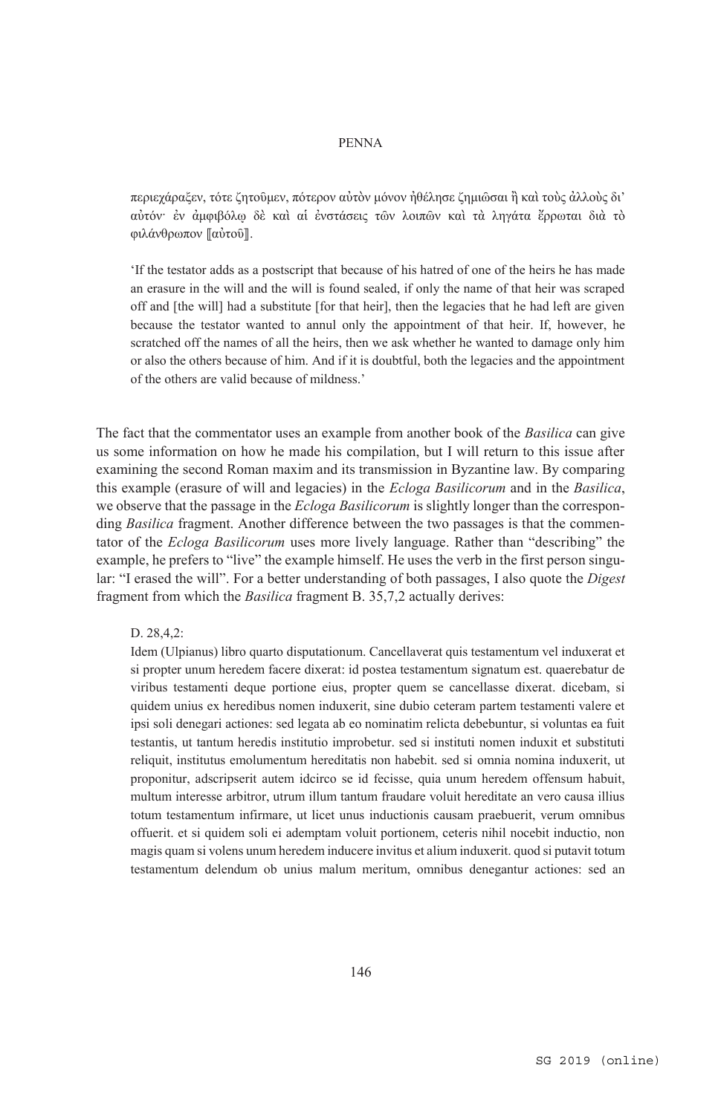περιεχάραξεν, τότε ζητοῦμεν, πότερον αὐτὸν μόνον ἠθέλησε ζημιῶσαι ἢ καὶ τοὺς ἀλλοὺς δι' αὐτόν· ἐν ἀμφιβόλῳ δὲ καὶ αἱ ἐνστάσεις τῶν λοιπῶν καὶ τὰ ληγάτα ἔρρωται διὰ τὸ φιλάνθρωπον ۤαὐτοῦۥ.

'If the testator adds as a postscript that because of his hatred of one of the heirs he has made an erasure in the will and the will is found sealed, if only the name of that heir was scraped off and [the will] had a substitute [for that heir], then the legacies that he had left are given because the testator wanted to annul only the appointment of that heir. If, however, he scratched off the names of all the heirs, then we ask whether he wanted to damage only him or also the others because of him. And if it is doubtful, both the legacies and the appointment of the others are valid because of mildness.'

The fact that the commentator uses an example from another book of the *Basilica* can give us some information on how he made his compilation, but I will return to this issue after examining the second Roman maxim and its transmission in Byzantine law. By comparing this example (erasure of will and legacies) in the *Ecloga Basilicorum* and in the *Basilica*, we observe that the passage in the *Ecloga Basilicorum* is slightly longer than the corresponding *Basilica* fragment. Another difference between the two passages is that the commentator of the *Ecloga Basilicorum* uses more lively language. Rather than "describing" the example, he prefers to "live" the example himself. He uses the verb in the first person singular: "I erased the will". For a better understanding of both passages, I also quote the *Digest* fragment from which the *Basilica* fragment B. 35,7,2 actually derives:

D. 28,4,2:

Idem (Ulpianus) libro quarto disputationum. Cancellaverat quis testamentum vel induxerat et si propter unum heredem facere dixerat: id postea testamentum signatum est. quaerebatur de viribus testamenti deque portione eius, propter quem se cancellasse dixerat. dicebam, si quidem unius ex heredibus nomen induxerit, sine dubio ceteram partem testamenti valere et ipsi soli denegari actiones: sed legata ab eo nominatim relicta debebuntur, si voluntas ea fuit testantis, ut tantum heredis institutio improbetur. sed si instituti nomen induxit et substituti reliquit, institutus emolumentum hereditatis non habebit. sed si omnia nomina induxerit, ut proponitur, adscripserit autem idcirco se id fecisse, quia unum heredem offensum habuit, multum interesse arbitror, utrum illum tantum fraudare voluit hereditate an vero causa illius totum testamentum infirmare, ut licet unus inductionis causam praebuerit, verum omnibus offuerit. et si quidem soli ei ademptam voluit portionem, ceteris nihil nocebit inductio, non magis quam si volens unum heredem inducere invitus et alium induxerit. quod si putavit totum testamentum delendum ob unius malum meritum, omnibus denegantur actiones: sed an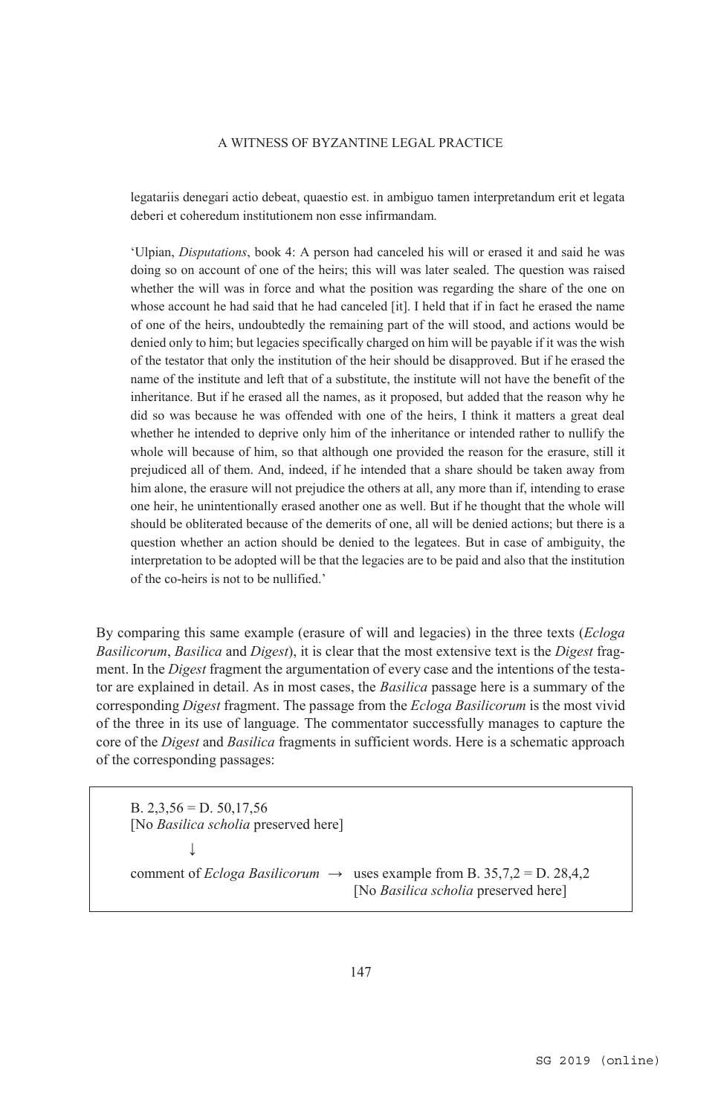legatariis denegari actio debeat, quaestio est. in ambiguo tamen interpretandum erit et legata deberi et coheredum institutionem non esse infirmandam.

'Ulpian, *Disputations*, book 4: A person had canceled his will or erased it and said he was doing so on account of one of the heirs; this will was later sealed. The question was raised whether the will was in force and what the position was regarding the share of the one on whose account he had said that he had canceled [it]. I held that if in fact he erased the name of one of the heirs, undoubtedly the remaining part of the will stood, and actions would be denied only to him; but legacies specifically charged on him will be payable if it was the wish of the testator that only the institution of the heir should be disapproved. But if he erased the name of the institute and left that of a substitute, the institute will not have the benefit of the inheritance. But if he erased all the names, as it proposed, but added that the reason why he did so was because he was offended with one of the heirs, I think it matters a great deal whether he intended to deprive only him of the inheritance or intended rather to nullify the whole will because of him, so that although one provided the reason for the erasure, still it prejudiced all of them. And, indeed, if he intended that a share should be taken away from him alone, the erasure will not prejudice the others at all, any more than if, intending to erase one heir, he unintentionally erased another one as well. But if he thought that the whole will should be obliterated because of the demerits of one, all will be denied actions; but there is a question whether an action should be denied to the legatees. But in case of ambiguity, the interpretation to be adopted will be that the legacies are to be paid and also that the institution of the co-heirs is not to be nullified.'

By comparing this same example (erasure of will and legacies) in the three texts (*Ecloga Basilicorum*, *Basilica* and *Digest*), it is clear that the most extensive text is the *Digest* fragment. In the *Digest* fragment the argumentation of every case and the intentions of the testator are explained in detail. As in most cases, the *Basilica* passage here is a summary of the corresponding *Digest* fragment. The passage from the *Ecloga Basilicorum* is the most vivid of the three in its use of language. The commentator successfully manages to capture the core of the *Digest* and *Basilica* fragments in sufficient words. Here is a schematic approach of the corresponding passages:

B.  $2,3,56 = D.50,17,56$  [No *Basilica scholia* preserved here] ↓ comment of *Ecloga Basilicorum*  $\rightarrow$  uses example from B. 35,7,2 = D. 28,4,2 [No *Basilica scholia* preserved here]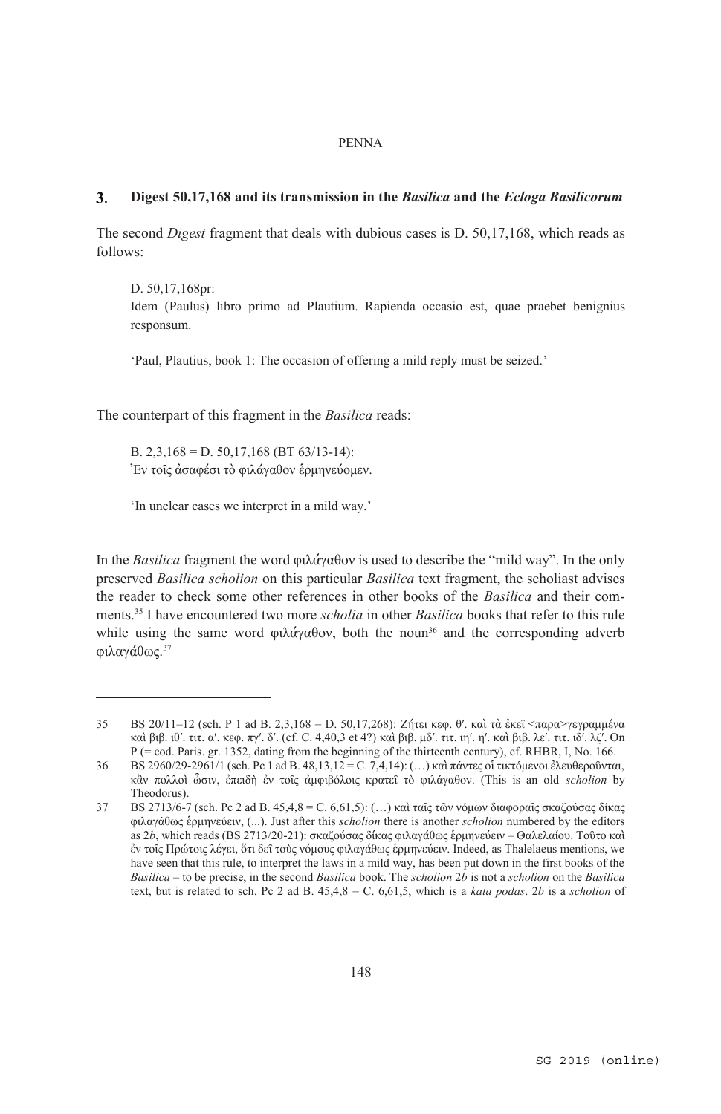### $\mathbf{3}$ . **Digest 50,17,168 and its transmission in the** *Basilica* **and the** *Ecloga Basilicorum*

The second *Digest* fragment that deals with dubious cases is D. 50,17,168, which reads as follows:

D. 50,17,168pr:

 $\overline{a}$ 

Idem (Paulus) libro primo ad Plautium. Rapienda occasio est, quae praebet benignius responsum.

'Paul, Plautius, book 1: The occasion of offering a mild reply must be seized.'

The counterpart of this fragment in the *Basilica* reads:

B. 2,3,168 = D. 50,17,168 (BT 63/13-14): Ἐν τοῖς ἀσαφέσι τὸ φιλάγαθον ἑρμηνεύομεν.

'In unclear cases we interpret in a mild way.'

In the *Basilica* fragment the word φιλάγαθον is used to describe the "mild way". In the only preserved *Basilica scholion* on this particular *Basilica* text fragment, the scholiast advises the reader to check some other references in other books of the *Basilica* and their comments.35 I have encountered two more *scholia* in other *Basilica* books that refer to this rule while using the same word φιλάγαθον, both the noun<sup>36</sup> and the corresponding adverb φιλαγάθως. 37

<sup>35</sup> BS 20/11–12 (sch. P 1 ad B. 2,3,168 = D. 50,17,268): Ζήτει κεφ. θ′. καὶ τὰ ἐκεῖ <παρα>γεγραμμένα καὶ βιβ. ιθ′. τιτ. α′. κεφ. πγ′. δ′. (cf. C. 4,40,3 et 4?) καὶ βιβ. μδ′. τιτ. ιη′. η′. καὶ βιβ. λε′. τιτ. ιδ′. λζ′. On P (= cod. Paris. gr. 1352, dating from the beginning of the thirteenth century), cf. RHBR, I, No. 166.

<sup>36</sup> BS 2960/29-2961/1 (sch. Pc 1 ad B. 48,13,12 = C. 7,4,14): (…) καὶ πάντες οἱ τικτόμενοι ἐλευθεροῦνται, κἂν πολλοὶ ὦσιν, ἐπειδὴ ἐν τοῖς ἀμφιβόλοις κρατεῖ τὸ φιλάγαθον. (This is an old *scholion* by Theodorus).

<sup>37</sup> BS 2713/6-7 (sch. Pc 2 ad B. 45,4,8 = C. 6,61,5): (…) καὶ ταῖς τῶν νόμων διαφοραῖς σκαζούσας δίκας φιλαγάθως ἑρμηνεύειν, (...). Just after this *scholion* there is another *scholion* numbered by the editors as 2*b*, which reads (BS 2713/20-21): σκαζούσας δίκας φιλαγάθως ἑρμηνεύειν – Θαλελαίου. Τοῦτο καὶ ἐν τοῖς Πρώτοις λέγει, ὅτι δεῖ τοὺς νόμους φιλαγάθως ἑρμηνεύειν. Indeed, as Thalelaeus mentions, we have seen that this rule, to interpret the laws in a mild way, has been put down in the first books of the *Basilica* – to be precise, in the second *Basilica* book. The *scholion* 2*b* is not a *scholion* on the *Basilica* text, but is related to sch. Pc 2 ad B. 45,4,8 = C. 6,61,5, which is a *kata podas*. 2*b* is a *scholion* of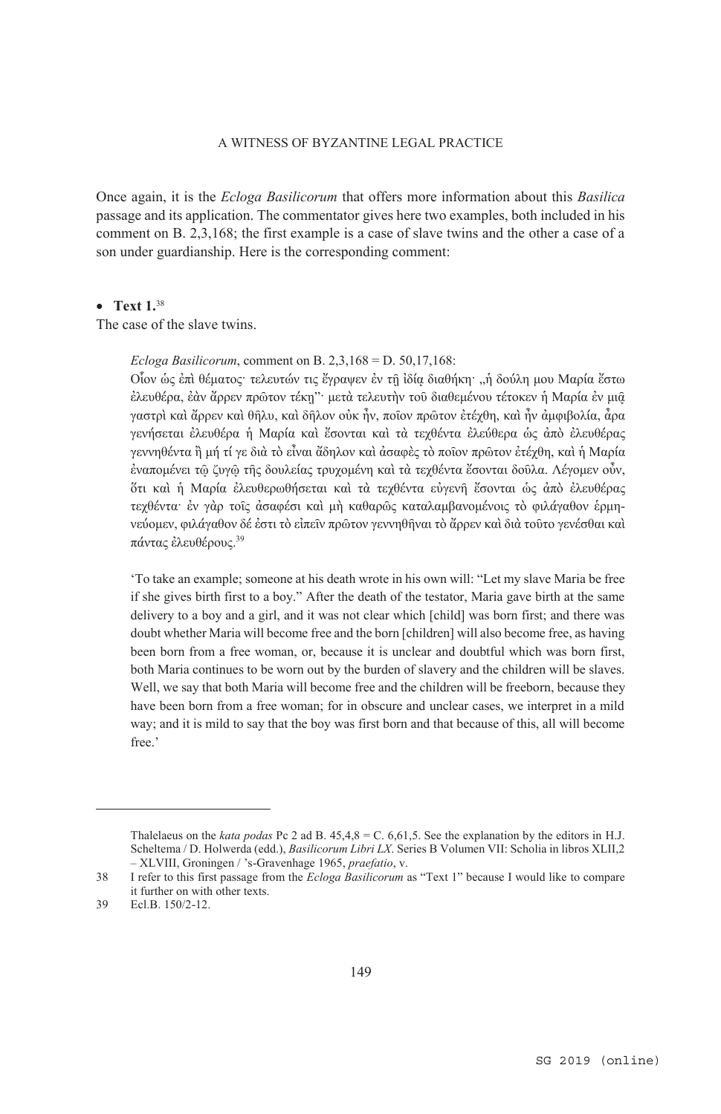Once again, it is the *Ecloga Basilicorum* that offers more information about this *Basilica* passage and its application. The commentator gives here two examples, both included in his comment on B. 2,3,168; the first example is a case of slave twins and the other a case of a son under guardianship. Here is the corresponding comment:

## • **Text 1.38**

The case of the slave twins.

*Ecloga Basilicorum*, comment on B. 2,3,168 = D. 50,17,168:

Οἷον ὡς ἐπὶ θέματος· τελευτών τις ἔγραψεν ἐν τῇ ἰδίᾳ διαθήκη· "ἡ δούλη μου Μαρία ἔστω ἐλευθέρα, ἐὰν ἄρρεν πρῶτον τέκῃ"· μετὰ τελευτὴν τοῦ διαθεμένου τέτοκεν ἡ Μαρία ἐν μιᾷ γαστρὶ καὶ ἄρρεν καὶ θῆλυ, καὶ δῆλον οὐκ ἦν, ποῖον πρῶτον ἐτέχθη, καὶ ἦν ἀμφιβολία, ἆρα γενήσεται ἐλευθέρα ἡ Μαρία καὶ ἔσονται καὶ τὰ τεχθέντα ἐλεύθερα ὡς ἀπὸ ἐλευθέρας γεννηθέντα ἢ μή τί γε διὰ τὸ εἶναι ἄδηλον καὶ ἀσαφὲς τὸ ποῖον πρῶτον ἐτέχθη, καὶ ἡ Μαρία ἐναπομένει τῷ ζυγῷ τῆς δουλείας τρυχομένη καὶ τὰ τεχθέντα ἔσονται δοῦλα. Λέγομεν οὖν, ὅτι καὶ ἡ Μαρία ἐλευθερωθήσεται καὶ τὰ τεχθέντα εὐγενῆ ἔσονται ὡς ἀπὸ ἐλευθέρας τεχθέντα· ἐν γὰρ τοῖς ἀσαφέσι καὶ μὴ καθαρῶς καταλαμβανομένοις τὸ φιλάγαθον ἑρμηνεύομεν, φιλάγαθον δέ ἐστι τὸ εἰπεῖν πρῶτον γεννηθῆναι τὸ ἄρρεν καὶ διὰ τοῦτο γενέσθαι καὶ πάντας ἐλευθέρους. 39

'To take an example; someone at his death wrote in his own will: "Let my slave Maria be free if she gives birth first to a boy." After the death of the testator, Maria gave birth at the same delivery to a boy and a girl, and it was not clear which [child] was born first; and there was doubt whether Maria will become free and the born [children] will also become free, as having been born from a free woman, or, because it is unclear and doubtful which was born first, both Maria continues to be worn out by the burden of slavery and the children will be slaves. Well, we say that both Maria will become free and the children will be freeborn, because they have been born from a free woman; for in obscure and unclear cases, we interpret in a mild way; and it is mild to say that the boy was first born and that because of this, all will become free.'

Thalelaeus on the *kata podas* Pc 2 ad B. 45,4,8 = C. 6,61,5. See the explanation by the editors in H.J. Scheltema / D. Holwerda (edd.), *Basilicorum Libri LX*. Series B Volumen VII: Scholia in libros XLII,2 – XLVIII, Groningen / 's-Gravenhage 1965, *praefatio*, v.

<sup>38</sup> I refer to this first passage from the *Ecloga Basilicorum* as "Text 1" because I would like to compare it further on with other texts.

<sup>39</sup> Ecl.B. 150/2-12.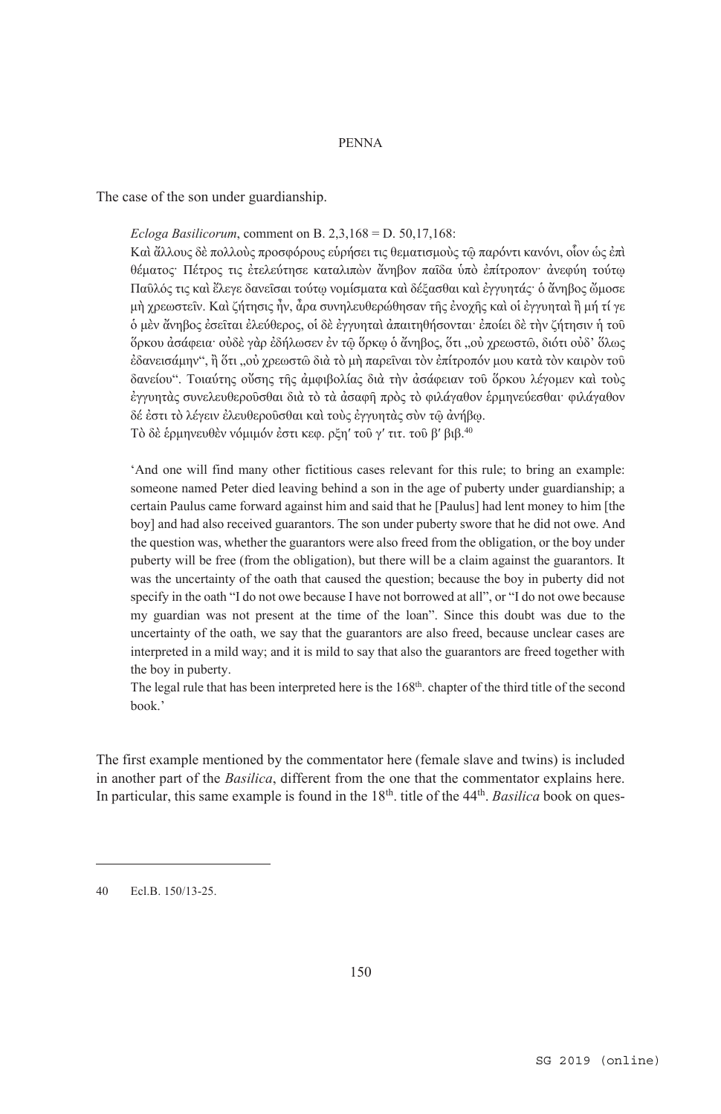The case of the son under guardianship.

*Ecloga Basilicorum*, comment on B. 2,3,168 = D. 50,17,168:

Καὶ ἄλλους δὲ πολλοὺς προσφόρους εὑρήσει τις θεματισμοὺς τῷ παρόντι κανόνι, οἷον ὡς ἐπὶ θέματος· Πέτρος τις ἐτελεύτησε καταλιπὼν ἄνηβον παῖδα ὑπὸ ἐπίτροπον· ἀνεφύη τούτῳ Παῦλός τις καὶ ἔλεγε δανεῖσαι τούτῳ νομίσματα καὶ δέξασθαι καὶ ἐγγυητάς· ὁ ἄνηβος ὤμοσε μὴ χρεωστεῖν. Καὶ ζήτησις ἦν, ἆρα συνηλευθερώθησαν τῆς ἐνοχῆς καὶ οἱ ἐγγυηταὶ ἢ μή τί γε ὁ μὲν ἄνηβος ἐσεῖται ἐλεύθερος, οἱ δὲ ἐγγυηταὶ ἀπαιτηθήσονται· ἐποίει δὲ τὴν ζήτησιν ἡ τοῦ ὅρκου ἀσάφεια· οὐδὲ γὰρ ἐδήλωσεν ἐν τῷ ὅρκῳ ὁ ἄνηβος, ὅτι "οὐ χρεωστῶ, διότι οὐδ' ὅλως έδανεισάμην", ἢ ὅτι ,,οὐ γρεωστῶ διὰ τὸ μὴ παρεῖναι τὸν ἐπίτροπόν μου κατὰ τὸν καιρὸν τοῦ δανείου". Τοιαύτης οὔσης τῆς ἀμφιβολίας διὰ τὴν ἀσάφειαν τοῦ ὅρκου λέγομεν καὶ τοὺς ἐγγυητὰς συνελευθεροῦσθαι διὰ τὸ τὰ ἀσαφῆ πρὸς τὸ φιλάγαθον ἑρμηνεύεσθαι· φιλάγαθον δέ ἐστι τὸ λέγειν ἐλευθεροῦσθαι καὶ τοὺς ἐγγυητὰς σὺν τῷ ἀνήβῳ. Τὸ δὲ ἑρμηνευθὲν νόμιμόν ἐστι κεφ. ρξηʹ τοῦ γʹ τιτ. τοῦ βʹ βιβ. 40

'And one will find many other fictitious cases relevant for this rule; to bring an example: someone named Peter died leaving behind a son in the age of puberty under guardianship; a certain Paulus came forward against him and said that he [Paulus] had lent money to him [the boy] and had also received guarantors. The son under puberty swore that he did not owe. And the question was, whether the guarantors were also freed from the obligation, or the boy under puberty will be free (from the obligation), but there will be a claim against the guarantors. It was the uncertainty of the oath that caused the question; because the boy in puberty did not specify in the oath "I do not owe because I have not borrowed at all", or "I do not owe because my guardian was not present at the time of the loan". Since this doubt was due to the uncertainty of the oath, we say that the guarantors are also freed, because unclear cases are interpreted in a mild way; and it is mild to say that also the guarantors are freed together with the boy in puberty.

The legal rule that has been interpreted here is the 168<sup>th</sup>. chapter of the third title of the second book.'

The first example mentioned by the commentator here (female slave and twins) is included in another part of the *Basilica*, different from the one that the commentator explains here. In particular, this same example is found in the 18<sup>th</sup>. title of the 44<sup>th</sup>. *Basilica* book on ques-

<sup>40</sup> Ecl.B. 150/13-25.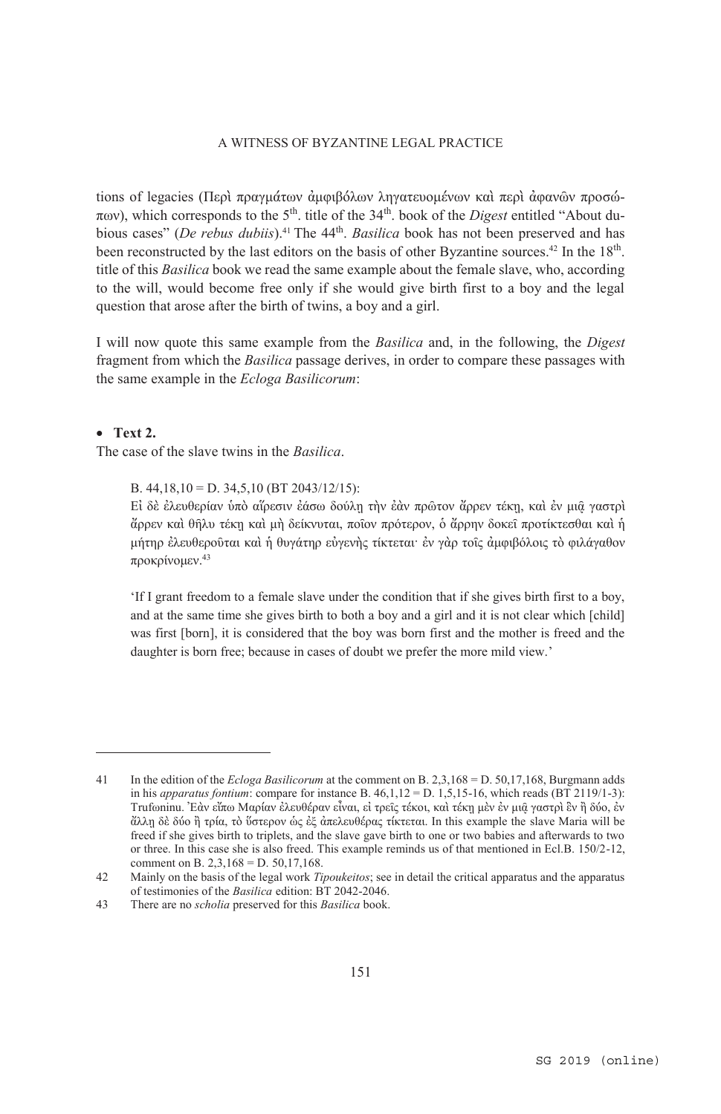tions of legacies (Περὶ πραγμάτων ἀμφιβόλων ληγατευομένων καὶ περὶ ἀφανῶν προσώ- $\pi$ <sub>0</sub>, which corresponds to the 5<sup>th</sup>, title of the 34<sup>th</sup>, book of the *Digest* entitled "About dubious cases" (*De rebus dubiis*).<sup>41</sup> The 44<sup>th</sup>. *Basilica* book has not been preserved and has been reconstructed by the last editors on the basis of other Byzantine sources.<sup>42</sup> In the  $18<sup>th</sup>$ . title of this *Basilica* book we read the same example about the female slave, who, according to the will, would become free only if she would give birth first to a boy and the legal question that arose after the birth of twins, a boy and a girl.

I will now quote this same example from the *Basilica* and, in the following, the *Digest* fragment from which the *Basilica* passage derives, in order to compare these passages with the same example in the *Ecloga Basilicorum*:

## x **Text 2.**

 $\overline{a}$ 

The case of the slave twins in the *Basilica*.

B. 44,18,10 = D. 34,5,10 (BT 2043/12/15):

Εἰ δὲ ἐλευθερίαν ὑπὸ αἵρεσιν ἐάσω δούλῃ τὴν ἐὰν πρῶτον ἄρρεν τέκῃ, καὶ ἐν μιᾷ γαστρὶ ἄρρεν καὶ θῆλυ τέκῃ καὶ μὴ δείκνυται, ποῖον πρότερον, ὁ ἄρρην δοκεῖ προτίκτεσθαι καὶ ἡ μήτηρ ἐλευθεροῦται καὶ ἡ θυγάτηρ εὐγενὴς τίκτεται· ἐν γὰρ τοῖς ἀμφιβόλοις τὸ φιλάγαθον προκρίνομεν. 43

'If I grant freedom to a female slave under the condition that if she gives birth first to a boy, and at the same time she gives birth to both a boy and a girl and it is not clear which [child] was first [born], it is considered that the boy was born first and the mother is freed and the daughter is born free; because in cases of doubt we prefer the more mild view.'

<sup>41</sup> In the edition of the *Ecloga Basilicorum* at the comment on B. 2,3,168 = D. 50,17,168, Burgmann adds in his *apparatus fontium*: compare for instance B.  $46,1,12 = D. 1,5,15-16$ , which reads (BT 2119/1-3): Trufωninu. Ἐὰν εἴπω Μαρίαν ἐλευθέραν εἶναι, εἰ τρεῖς τέκοι, καὶ τέκῃ μὲν ἐν μιῷ γαστρὶ ἓν ἢ δύο, ἐν ἄλλῃ δὲ δύο ἢ τρία, τὸ ὕστερον ὡς ἐξ ἀπελευθέρας τίκτεται. In this example the slave Maria will be freed if she gives birth to triplets, and the slave gave birth to one or two babies and afterwards to two or three. In this case she is also freed. This example reminds us of that mentioned in Ecl.B. 150/2-12, comment on B. 2,3,168 = D. 50,17,168.

<sup>42</sup> Mainly on the basis of the legal work *Tipoukeitos*; see in detail the critical apparatus and the apparatus of testimonies of the *Basilica* edition: BT 2042-2046.

<sup>43</sup> There are no *scholia* preserved for this *Basilica* book.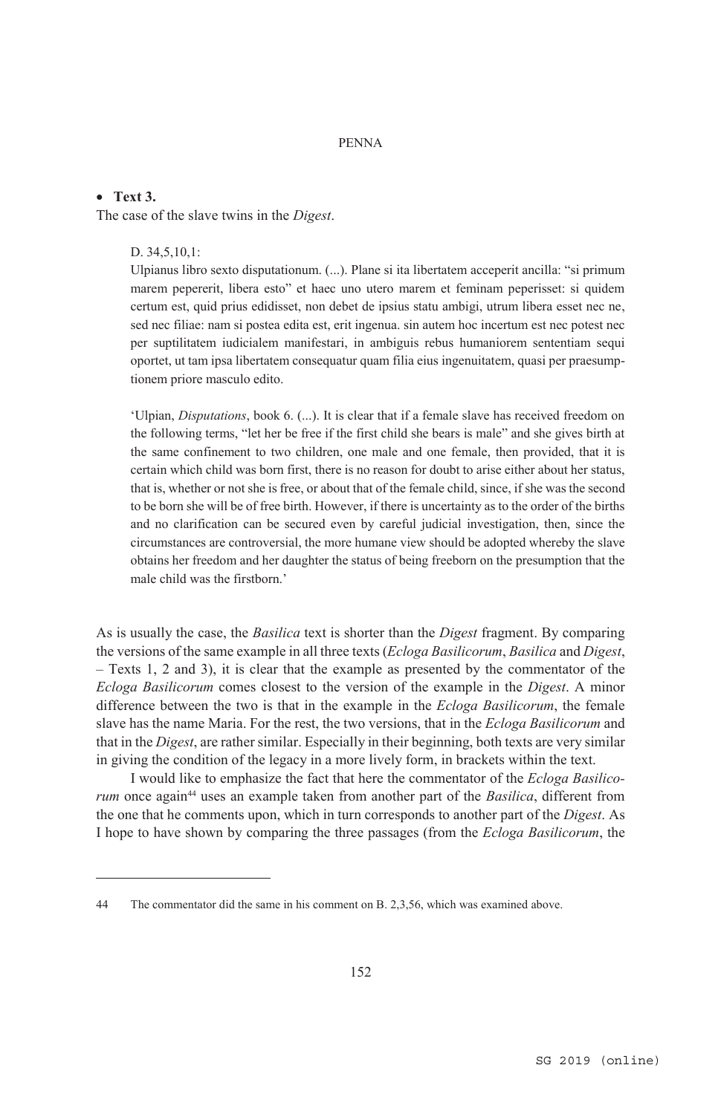### x **Text 3.**

 $\overline{a}$ 

The case of the slave twins in the *Digest*.

### D. 34,5,10,1:

Ulpianus libro sexto disputationum. (...). Plane si ita libertatem acceperit ancilla: "si primum marem pepererit, libera esto" et haec uno utero marem et feminam peperisset: si quidem certum est, quid prius edidisset, non debet de ipsius statu ambigi, utrum libera esset nec ne, sed nec filiae: nam si postea edita est, erit ingenua. sin autem hoc incertum est nec potest nec per suptilitatem iudicialem manifestari, in ambiguis rebus humaniorem sententiam sequi oportet, ut tam ipsa libertatem consequatur quam filia eius ingenuitatem, quasi per praesumptionem priore masculo edito.

'Ulpian, *Disputations*, book 6. (...). It is clear that if a female slave has received freedom on the following terms, "let her be free if the first child she bears is male" and she gives birth at the same confinement to two children, one male and one female, then provided, that it is certain which child was born first, there is no reason for doubt to arise either about her status, that is, whether or not she is free, or about that of the female child, since, if she was the second to be born she will be of free birth. However, if there is uncertainty as to the order of the births and no clarification can be secured even by careful judicial investigation, then, since the circumstances are controversial, the more humane view should be adopted whereby the slave obtains her freedom and her daughter the status of being freeborn on the presumption that the male child was the firstborn.'

As is usually the case, the *Basilica* text is shorter than the *Digest* fragment. By comparing the versions of the same example in all three texts (*Ecloga Basilicorum*, *Basilica* and *Digest*, – Texts 1, 2 and 3), it is clear that the example as presented by the commentator of the *Ecloga Basilicorum* comes closest to the version of the example in the *Digest*. A minor difference between the two is that in the example in the *Ecloga Basilicorum*, the female slave has the name Maria. For the rest, the two versions, that in the *Ecloga Basilicorum* and that in the *Digest*, are rather similar. Especially in their beginning, both texts are very similar in giving the condition of the legacy in a more lively form, in brackets within the text.

I would like to emphasize the fact that here the commentator of the *Ecloga Basilicorum* once again<sup>44</sup> uses an example taken from another part of the *Basilica*, different from the one that he comments upon, which in turn corresponds to another part of the *Digest*. As I hope to have shown by comparing the three passages (from the *Ecloga Basilicorum*, the

<sup>44</sup> The commentator did the same in his comment on B. 2,3,56, which was examined above.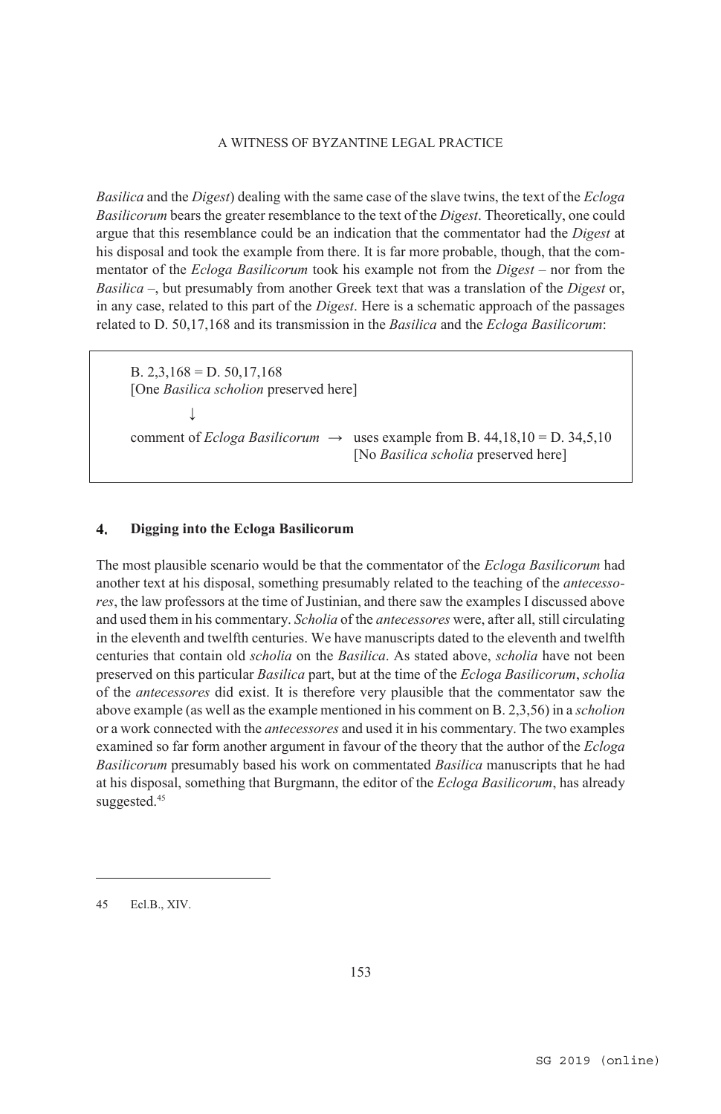*Basilica* and the *Digest*) dealing with the same case of the slave twins, the text of the *Ecloga Basilicorum* bears the greater resemblance to the text of the *Digest*. Theoretically, one could argue that this resemblance could be an indication that the commentator had the *Digest* at his disposal and took the example from there. It is far more probable, though, that the commentator of the *Ecloga Basilicorum* took his example not from the *Digest* – nor from the *Basilica* –, but presumably from another Greek text that was a translation of the *Digest* or, in any case, related to this part of the *Digest*. Here is a schematic approach of the passages related to D. 50,17,168 and its transmission in the *Basilica* and the *Ecloga Basilicorum*:

B.  $2,3,168 = D.50,17,168$  [One *Basilica scholion* preserved here] ↓ comment of *Ecloga Basilicorum*  $\rightarrow$  uses example from B. 44,18,10 = D. 34,5,10 [No *Basilica scholia* preserved here]

#### $\overline{4}$ . **Digging into the Ecloga Basilicorum**

The most plausible scenario would be that the commentator of the *Ecloga Basilicorum* had another text at his disposal, something presumably related to the teaching of the *antecessores*, the law professors at the time of Justinian, and there saw the examples I discussed above and used them in his commentary. *Scholia* of the *antecessores* were, after all, still circulating in the eleventh and twelfth centuries. We have manuscripts dated to the eleventh and twelfth centuries that contain old *scholia* on the *Basilica*. As stated above, *scholia* have not been preserved on this particular *Basilica* part, but at the time of the *Ecloga Basilicorum*, *scholia* of the *antecessores* did exist. It is therefore very plausible that the commentator saw the above example (as well as the example mentioned in his comment on B. 2,3,56) in a *scholion* or a work connected with the *antecessores* and used it in his commentary. The two examples examined so far form another argument in favour of the theory that the author of the *Ecloga Basilicorum* presumably based his work on commentated *Basilica* manuscripts that he had at his disposal, something that Burgmann, the editor of the *Ecloga Basilicorum*, has already suggested.<sup>45</sup>

<sup>45</sup> Ecl.B., XIV.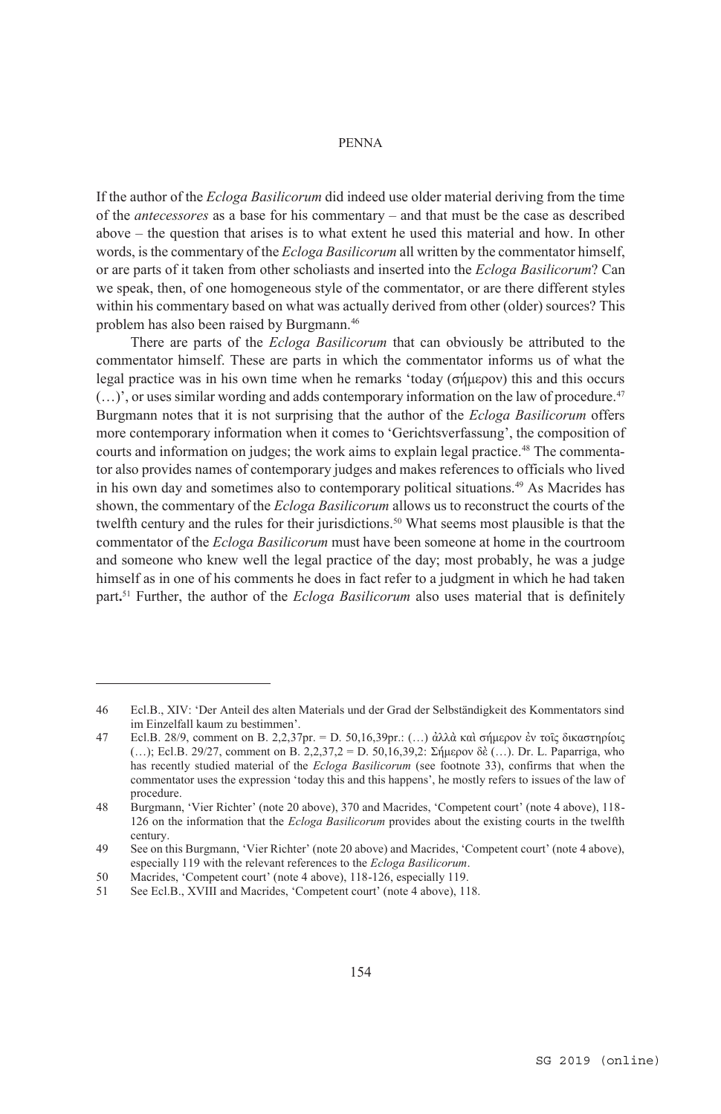If the author of the *Ecloga Basilicorum* did indeed use older material deriving from the time of the *antecessores* as a base for his commentary – and that must be the case as described above – the question that arises is to what extent he used this material and how. In other words, is the commentary of the *Ecloga Basilicorum* all written by the commentator himself, or are parts of it taken from other scholiasts and inserted into the *Ecloga Basilicorum*? Can we speak, then, of one homogeneous style of the commentator, or are there different styles within his commentary based on what was actually derived from other (older) sources? This problem has also been raised by Burgmann.46

There are parts of the *Ecloga Basilicorum* that can obviously be attributed to the commentator himself. These are parts in which the commentator informs us of what the legal practice was in his own time when he remarks 'today (σήμερον) this and this occurs  $(...)'$ , or uses similar wording and adds contemporary information on the law of procedure.<sup>47</sup> Burgmann notes that it is not surprising that the author of the *Ecloga Basilicorum* offers more contemporary information when it comes to 'Gerichtsverfassung', the composition of courts and information on judges; the work aims to explain legal practice.<sup>48</sup> The commentator also provides names of contemporary judges and makes references to officials who lived in his own day and sometimes also to contemporary political situations.49 As Macrides has shown, the commentary of the *Ecloga Basilicorum* allows us to reconstruct the courts of the twelfth century and the rules for their jurisdictions.<sup>50</sup> What seems most plausible is that the commentator of the *Ecloga Basilicorum* must have been someone at home in the courtroom and someone who knew well the legal practice of the day; most probably, he was a judge himself as in one of his comments he does in fact refer to a judgment in which he had taken part**.** <sup>51</sup> Further, the author of the *Ecloga Basilicorum* also uses material that is definitely

<sup>46</sup> Ecl.B., XIV: 'Der Anteil des alten Materials und der Grad der Selbständigkeit des Kommentators sind im Einzelfall kaum zu bestimmen'.

<sup>47</sup> Ecl.B. 28/9, comment on B. 2,2,37pr. = D. 50,16,39pr.: (…) ἀλλὰ καὶ σήμερον ἐν τοῖς δικαστηρίοις (…); Ecl.B. 29/27, comment on B. 2,2,37,2 = D. 50,16,39,2: Σήμερον δὲ (…). Dr. L. Paparriga, who has recently studied material of the *Ecloga Basilicorum* (see footnote 33), confirms that when the commentator uses the expression 'today this and this happens', he mostly refers to issues of the law of procedure.

<sup>48</sup> Burgmann, 'Vier Richter' (note 20 above), 370 and Macrides, 'Competent court' (note 4 above), 118- 126 on the information that the *Ecloga Basilicorum* provides about the existing courts in the twelfth century.

<sup>49</sup> See on this Burgmann, 'Vier Richter' (note 20 above) and Macrides, 'Competent court' (note 4 above), especially 119 with the relevant references to the *Ecloga Basilicorum*.

<sup>50</sup> Macrides, 'Competent court' (note 4 above), 118-126, especially 119.

<sup>51</sup> See Ecl.B., XVIII and Macrides, 'Competent court' (note 4 above), 118.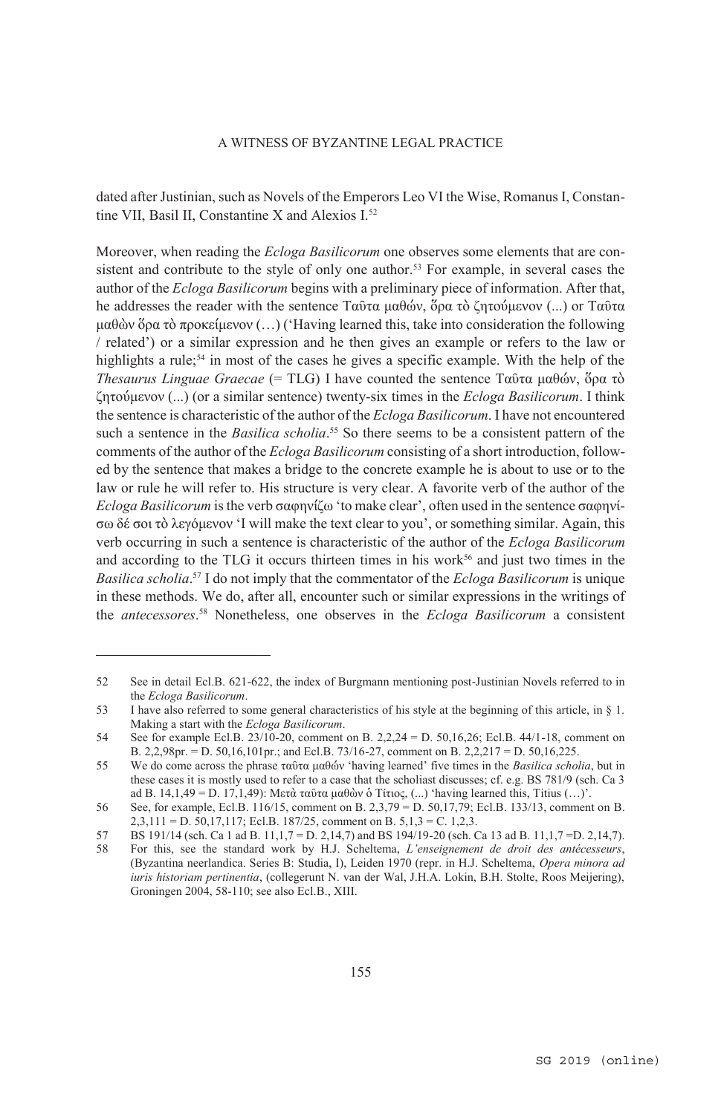dated after Justinian, such as Novels of the Emperors Leo VI the Wise, Romanus I, Constantine VII, Basil II, Constantine X and Alexios I<sup>52</sup>

Moreover, when reading the *Ecloga Basilicorum* one observes some elements that are consistent and contribute to the style of only one author.<sup>53</sup> For example, in several cases the author of the *Ecloga Basilicorum* begins with a preliminary piece of information. After that, he addresses the reader with the sentence Ταῦτα μαθών, ὅρα τὸ ζητούμενον (...) or Ταῦτα μαθὼν ὅρα τὸ προκείμενον (…) ('Having learned this, take into consideration the following / related') or a similar expression and he then gives an example or refers to the law or highlights a rule;<sup>54</sup> in most of the cases he gives a specific example. With the help of the *Thesaurus Linguae Graecae* (= TLG) I have counted the sentence Ταῦτα μαθών, ὅρα τὸ ζητούμενον (...) (or a similar sentence) twenty-six times in the *Ecloga Basilicorum*. I think the sentence is characteristic of the author of the *Ecloga Basilicorum*. I have not encountered such a sentence in the *Basilica scholia*.<sup>55</sup> So there seems to be a consistent pattern of the comments of the author of the *Ecloga Basilicorum* consisting of a short introduction, followed by the sentence that makes a bridge to the concrete example he is about to use or to the law or rule he will refer to. His structure is very clear. A favorite verb of the author of the *Ecloga Basilicorum* is the verb σαφηνίζω 'to make clear', often used in the sentence σαφηνίσω δέ σοι τὸ λεγόμενον 'I will make the text clear to you', or something similar. Again, this verb occurring in such a sentence is characteristic of the author of the *Ecloga Basilicorum*  and according to the TLG it occurs thirteen times in his work $56$  and just two times in the *Basilica scholia*. 57 I do not imply that the commentator of the *Ecloga Basilicorum* is unique in these methods. We do, after all, encounter such or similar expressions in the writings of the *antecessores*. 58 Nonetheless, one observes in the *Ecloga Basilicorum* a consistent

<sup>52</sup> See in detail Ecl.B. 621-622, the index of Burgmann mentioning post-Justinian Novels referred to in the *Ecloga Basilicorum*.

<sup>53</sup> I have also referred to some general characteristics of his style at the beginning of this article, in § 1. Making a start with the *Ecloga Basilicorum*.

<sup>54</sup> See for example Ecl.B. 23/10-20, comment on B. 2,2,24 = D. 50,16,26; Ecl.B. 44/1-18, comment on B. 2,2,98pr. = D. 50,16,101pr.; and Ecl.B. 73/16-27, comment on B. 2,2,217 = D. 50,16,225.

<sup>55</sup> We do come across the phrase ταῦτα μαθών 'having learned' five times in the *Basilica scholia*, but in these cases it is mostly used to refer to a case that the scholiast discusses; cf. e.g. BS 781/9 (sch. Ca 3 ad B. 14,1,49 = D. 17,1,49): Μετά ταῦτα μαθὼν ὁ Τίτιος, (...) 'having learned this, Titius (...)'.

<sup>56</sup> See, for example, Ecl.B. 116/15, comment on B. 2,3,79 = D. 50,17,79; Ecl.B. 133/13, comment on B. 2,3,111 = D. 50,17,117; Ecl.B. 187/25, comment on B. 5,1,3 = C. 1.2.3.

<sup>57</sup> BS 191/14 (sch. Ca 1 ad B. 11,1,7 = D. 2,14,7) and BS 194/19-20 (sch. Ca 13 ad B. 11,1,7 =D. 2,14,7).

<sup>58</sup> For this, see the standard work by H.J. Scheltema, *L'enseignement de droit des antécesseurs*, (Byzantina neerlandica. Series B: Studia, I), Leiden 1970 (repr. in H.J. Scheltema, *Opera minora ad iuris historiam pertinentia*, (collegerunt N. van der Wal, J.H.A. Lokin, B.H. Stolte, Roos Meijering), Groningen 2004, 58-110; see also Ecl.B., XIII.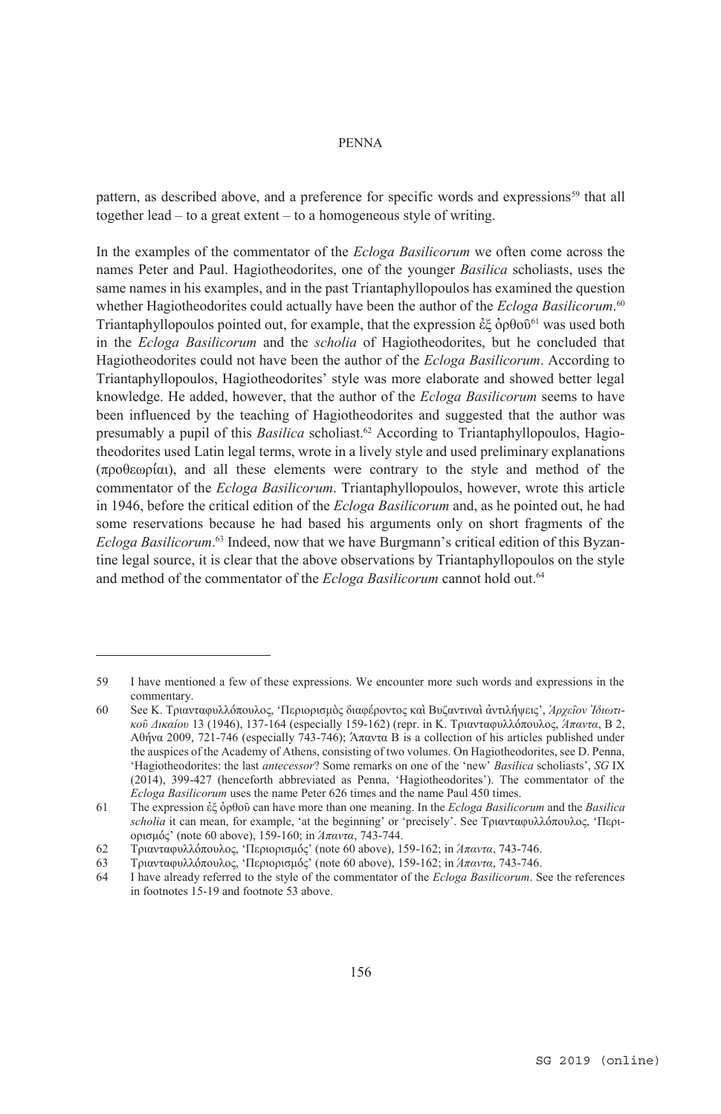pattern, as described above, and a preference for specific words and expressions<sup>59</sup> that all together lead – to a great extent – to a homogeneous style of writing.

In the examples of the commentator of the *Ecloga Basilicorum* we often come across the names Peter and Paul. Hagiotheodorites, one of the younger *Basilica* scholiasts, uses the same names in his examples, and in the past Triantaphyllopoulos has examined the question whether Hagiotheodorites could actually have been the author of the *Ecloga Basilicorum*. 60 Triantaphyllopoulos pointed out, for example, that the expression ἐξ ὀρθοῦ61 was used both in the *Ecloga Basilicorum* and the *scholia* of Hagiotheodorites, but he concluded that Hagiotheodorites could not have been the author of the *Ecloga Basilicorum*. According to Triantaphyllopoulos, Hagiotheodorites' style was more elaborate and showed better legal knowledge. He added, however, that the author of the *Ecloga Basilicorum* seems to have been influenced by the teaching of Hagiotheodorites and suggested that the author was presumably a pupil of this *Basilica* scholiast.62 According to Triantaphyllopoulos, Hagiotheodorites used Latin legal terms, wrote in a lively style and used preliminary explanations (προθεωρίαι), and all these elements were contrary to the style and method of the commentator of the *Ecloga Basilicorum*. Triantaphyllopoulos, however, wrote this article in 1946, before the critical edition of the *Ecloga Basilicorum* and, as he pointed out, he had some reservations because he had based his arguments only on short fragments of the *Ecloga Basilicorum*. 63 Indeed, now that we have Burgmann's critical edition of this Byzantine legal source, it is clear that the above observations by Triantaphyllopoulos on the style and method of the commentator of the *Ecloga Basilicorum* cannot hold out.<sup>64</sup>

<sup>59</sup> I have mentioned a few of these expressions. We encounter more such words and expressions in the commentary.

<sup>60</sup> See Κ. Τριανταφυλλόπουλος, 'Περιορισμὸς διαφέροντος καὶ Βυζαντιναὶ ἀντιλήψεις', *Ἀρχεῖον Ἰδιωτικοῦ Δικαίου* 13 (1946), 137-164 (especially 159-162) (repr. in Κ. Τριανταφυλλόπουλος, *Άπαντα*, B 2, Αθήνα 2009, 721-746 (especially 743-746); Άπαντα B is a collection of his articles published under the auspices of the Academy of Athens, consisting of two volumes. On Hagiotheodorites, see D. Penna, 'Hagiotheodorites: the last *antecessor*? Some remarks on one of the 'new' *Basilica* scholiasts', *SG* IX (2014), 399-427 (henceforth abbreviated as Penna, 'Hagiotheodorites'). The commentator of the *Ecloga Basilicorum* uses the name Peter 626 times and the name Paul 450 times.

<sup>61</sup> The expression ἐξ ὀρθοῦ can have more than one meaning. In the *Ecloga Basilicorum* and the *Basilica scholia* it can mean, for example, 'at the beginning' or 'precisely'. See Τριανταφυλλόπουλος, 'Περιορισμός' (note 60 above), 159-160; in *Άπαντα*, 743-744.

<sup>62</sup> Τριανταφυλλόπουλος, 'Περιορισμός' (note 60 above), 159-162; in *Άπαντα*, 743-746.

<sup>63</sup> Τριανταφυλλόπουλος, 'Περιορισμός' (note 60 above), 159-162; in *Άπαντα*, 743-746.

<sup>64</sup> I have already referred to the style of the commentator of the *Ecloga Basilicorum*. See the references in footnotes 15-19 and footnote 53 above.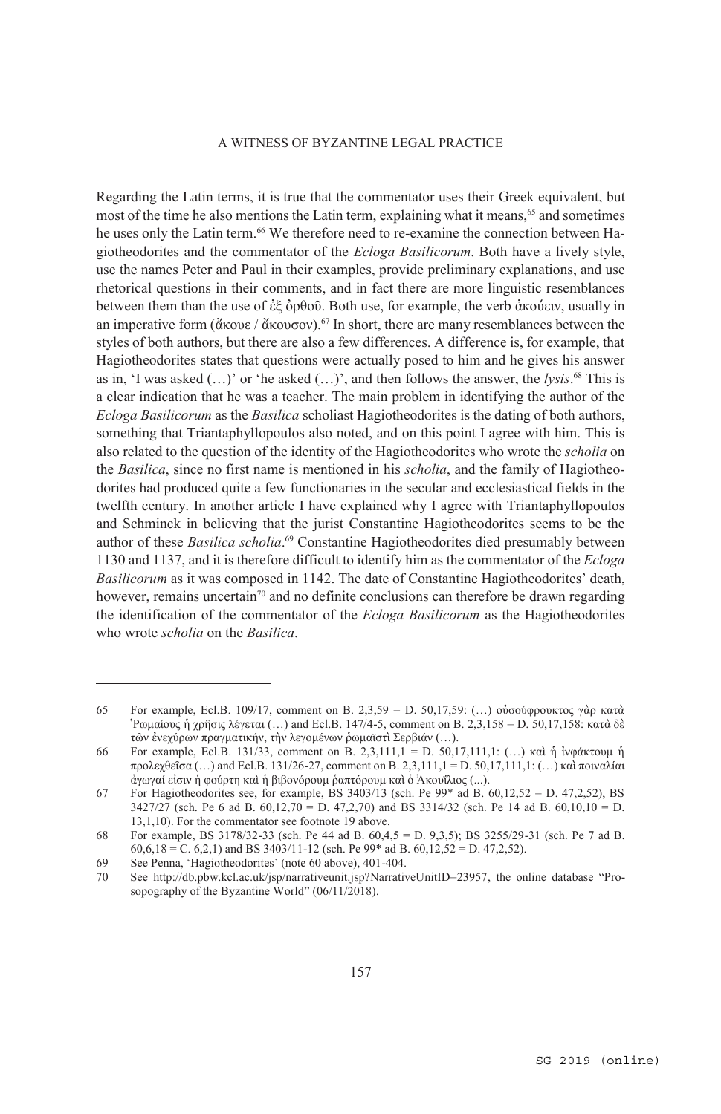Regarding the Latin terms, it is true that the commentator uses their Greek equivalent, but most of the time he also mentions the Latin term, explaining what it means,<sup>65</sup> and sometimes he uses only the Latin term.<sup>66</sup> We therefore need to re-examine the connection between Hagiotheodorites and the commentator of the *Ecloga Basilicorum*. Both have a lively style, use the names Peter and Paul in their examples, provide preliminary explanations, and use rhetorical questions in their comments, and in fact there are more linguistic resemblances between them than the use of ἐξ ὀρθοῦ. Both use, for example, the verb ἀκούειν, usually in an imperative form (ἄκουε / ἄκουσον).<sup>67</sup> In short, there are many resemblances between the styles of both authors, but there are also a few differences. A difference is, for example, that Hagiotheodorites states that questions were actually posed to him and he gives his answer as in, 'I was asked  $(...)$ ' or 'he asked  $(...)$ ', and then follows the answer, the *lysis*.<sup>68</sup> This is a clear indication that he was a teacher. The main problem in identifying the author of the *Ecloga Basilicorum* as the *Basilica* scholiast Hagiotheodorites is the dating of both authors, something that Triantaphyllopoulos also noted, and on this point I agree with him. This is also related to the question of the identity of the Hagiotheodorites who wrote the *scholia* on the *Basilica*, since no first name is mentioned in his *scholia*, and the family of Hagiotheodorites had produced quite a few functionaries in the secular and ecclesiastical fields in the twelfth century. In another article I have explained why I agree with Triantaphyllopoulos and Schminck in believing that the jurist Constantine Hagiotheodorites seems to be the author of these *Basilica scholia*. 69 Constantine Hagiotheodorites died presumably between 1130 and 1137, and it is therefore difficult to identify him as the commentator of the *Ecloga Basilicorum* as it was composed in 1142. The date of Constantine Hagiotheodorites' death, however, remains uncertain<sup>70</sup> and no definite conclusions can therefore be drawn regarding the identification of the commentator of the *Ecloga Basilicorum* as the Hagiotheodorites who wrote *scholia* on the *Basilica*.

<sup>65</sup> For example, Ecl.B. 109/17, comment on B. 2,3,59 = D. 50,17,59: (…) οὐσούφρουκτος γὰρ κατὰ Ῥωμαίους ἡ χρῆσις λέγεται (…) and Ecl.B. 147/4-5, comment on B. 2,3,158 = D. 50,17,158: κατὰ δὲ τῶν ἐνεχύρων πραγματικήν, τὴν λεγομένων ῥωμαϊστὶ Σερβιάν (…).

<sup>66</sup> For example, Ecl.B. 131/33, comment on B. 2,3,111,1 = D. 50,17,111,1: (…) καὶ ἡ ἰνφάκτουμ ἡ προλεχθεῖσα (…) and Ecl.B. 131/26-27, comment on B. 2,3,111,1 = D. 50,17,111,1: (…) καὶ ποιναλίαι ἀγωγαί εἰσιν ἡ φούρτη καὶ ἡ βιβονόρουμ ῥαπτόρουμ καὶ ὁ Ἀκουΐλιος (...).

<sup>67</sup> For Hagiotheodorites see, for example, BS 3403/13 (sch. Pe  $99*$  ad B. 60,12,52 = D. 47,2,52), BS 3427/27 (sch. Pe 6 ad B. 60,12,70 = D. 47,2,70) and BS 3314/32 (sch. Pe 14 ad B. 60,10,10 = D. 13,1,10). For the commentator see footnote 19 above.

<sup>68</sup> For example, BS 3178/32-33 (sch. Pe 44 ad B. 60,4,5 = D. 9,3,5); BS 3255/29-31 (sch. Pe 7 ad B.  $60,6,18 = C.$  6,2,1) and BS 3403/11-12 (sch. Pe 99\* ad B. 60,12,52 = D. 47,2,52).

<sup>69</sup> See Penna, 'Hagiotheodorites' (note 60 above), 401-404.<br>70 See http://db.pbw.kcl.ac.uk/isp/narrativeunit.jsp?Narrativ

<sup>70</sup> See http://db.pbw.kcl.ac.uk/jsp/narrativeunit.jsp?NarrativeUnitID=23957, the online database "Prosopography of the Byzantine World" (06/11/2018).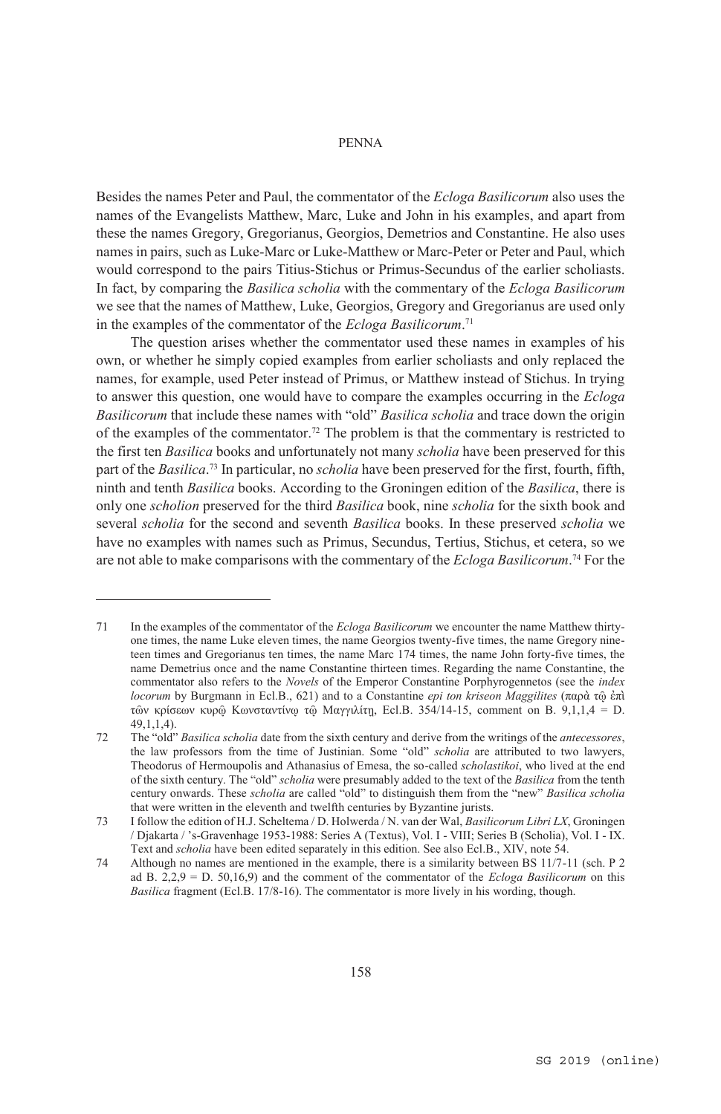Besides the names Peter and Paul, the commentator of the *Ecloga Basilicorum* also uses the names of the Evangelists Matthew, Marc, Luke and John in his examples, and apart from these the names Gregory, Gregorianus, Georgios, Demetrios and Constantine. He also uses names in pairs, such as Luke-Marc or Luke-Matthew or Marc-Peter or Peter and Paul, which would correspond to the pairs Titius-Stichus or Primus-Secundus of the earlier scholiasts. In fact, by comparing the *Basilica scholia* with the commentary of the *Ecloga Basilicorum* we see that the names of Matthew, Luke, Georgios, Gregory and Gregorianus are used only in the examples of the commentator of the *Ecloga Basilicorum*. 71

The question arises whether the commentator used these names in examples of his own, or whether he simply copied examples from earlier scholiasts and only replaced the names, for example, used Peter instead of Primus, or Matthew instead of Stichus. In trying to answer this question, one would have to compare the examples occurring in the *Ecloga Basilicorum* that include these names with "old" *Basilica scholia* and trace down the origin of the examples of the commentator.72 The problem is that the commentary is restricted to the first ten *Basilica* books and unfortunately not many *scholia* have been preserved for this part of the *Basilica*. <sup>73</sup> In particular, no *scholia* have been preserved for the first, fourth, fifth, ninth and tenth *Basilica* books. According to the Groningen edition of the *Basilica*, there is only one *scholion* preserved for the third *Basilica* book, nine *scholia* for the sixth book and several *scholia* for the second and seventh *Basilica* books. In these preserved *scholia* we have no examples with names such as Primus, Secundus, Tertius, Stichus, et cetera, so we are not able to make comparisons with the commentary of the *Ecloga Basilicorum*. 74 For the

<sup>71</sup> In the examples of the commentator of the *Ecloga Basilicorum* we encounter the name Matthew thirtyone times, the name Luke eleven times, the name Georgios twenty-five times, the name Gregory nineteen times and Gregorianus ten times, the name Marc 174 times, the name John forty-five times, the name Demetrius once and the name Constantine thirteen times. Regarding the name Constantine, the commentator also refers to the *Novels* of the Emperor Constantine Porphyrogennetos (see the *index locorum* by Burgmann in Ecl.B., 621) and to a Constantine *epi ton kriseon Maggilites* (παρὰ τῷ ἐπὶ τῶν κρίσεων κυρῷ Κωνσταντίνῳ τῷ Μαγγιλίτῃ, Ecl.B. 354/14-15, comment on B. 9,1,1,4 = D. 49,1,1,4).

<sup>72</sup> The "old" *Basilica scholia* date from the sixth century and derive from the writings of the *antecessores*, the law professors from the time of Justinian. Some "old" *scholia* are attributed to two lawyers, Theodorus of Hermoupolis and Athanasius of Emesa, the so-called *scholastikoi*, who lived at the end of the sixth century. The "old" *scholia* were presumably added to the text of the *Basilica* from the tenth century onwards. These *scholia* are called "old" to distinguish them from the "new" *Basilica scholia* that were written in the eleventh and twelfth centuries by Byzantine jurists.

<sup>73</sup> I follow the edition of H.J. Scheltema / D. Holwerda / N. van der Wal, *Basilicorum Libri LX*, Groningen / Djakarta / 's-Gravenhage 1953-1988: Series A (Textus), Vol. I - VIII; Series B (Scholia), Vol. I - IX. Text and *scholia* have been edited separately in this edition. See also Ecl.B., XIV, note 54.

<sup>74</sup> Although no names are mentioned in the example, there is a similarity between BS 11/7-11 (sch. P 2 ad B. 2,2,9 = D. 50,16,9) and the comment of the commentator of the *Ecloga Basilicorum* on this *Basilica* fragment (Ecl.B. 17/8-16). The commentator is more lively in his wording, though.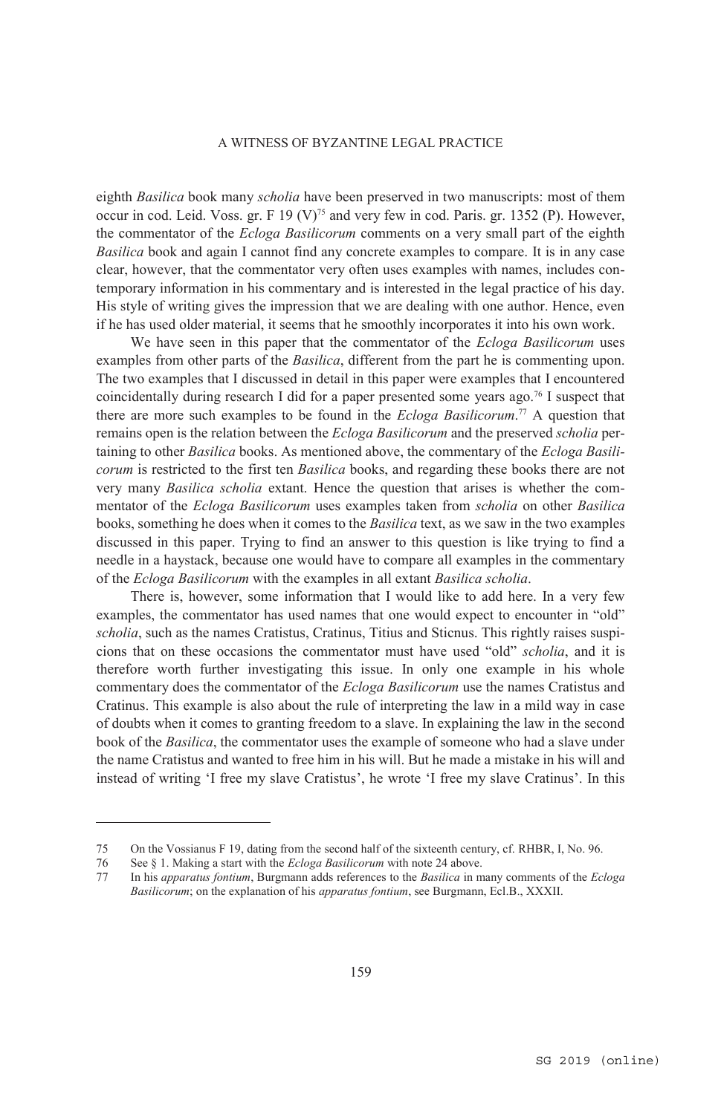eighth *Basilica* book many *scholia* have been preserved in two manuscripts: most of them occur in cod. Leid. Voss. gr. F 19 (V)<sup>75</sup> and very few in cod. Paris. gr. 1352 (P). However, the commentator of the *Ecloga Basilicorum* comments on a very small part of the eighth *Basilica* book and again I cannot find any concrete examples to compare. It is in any case clear, however, that the commentator very often uses examples with names, includes contemporary information in his commentary and is interested in the legal practice of his day. His style of writing gives the impression that we are dealing with one author. Hence, even if he has used older material, it seems that he smoothly incorporates it into his own work.

We have seen in this paper that the commentator of the *Ecloga Basilicorum* uses examples from other parts of the *Basilica*, different from the part he is commenting upon. The two examples that I discussed in detail in this paper were examples that I encountered coincidentally during research I did for a paper presented some years ago.76 I suspect that there are more such examples to be found in the *Ecloga Basilicorum*. 77 A question that remains open is the relation between the *Ecloga Basilicorum* and the preserved *scholia* pertaining to other *Basilica* books. As mentioned above, the commentary of the *Ecloga Basilicorum* is restricted to the first ten *Basilica* books, and regarding these books there are not very many *Basilica scholia* extant. Hence the question that arises is whether the commentator of the *Ecloga Basilicorum* uses examples taken from *scholia* on other *Basilica* books, something he does when it comes to the *Basilica* text, as we saw in the two examples discussed in this paper. Trying to find an answer to this question is like trying to find a needle in a haystack, because one would have to compare all examples in the commentary of the *Ecloga Basilicorum* with the examples in all extant *Basilica scholia*.

There is, however, some information that I would like to add here. In a very few examples, the commentator has used names that one would expect to encounter in "old" *scholia*, such as the names Cratistus, Cratinus, Titius and Sticnus. This rightly raises suspicions that on these occasions the commentator must have used "old" *scholia*, and it is therefore worth further investigating this issue. In only one example in his whole commentary does the commentator of the *Ecloga Basilicorum* use the names Cratistus and Cratinus. This example is also about the rule of interpreting the law in a mild way in case of doubts when it comes to granting freedom to a slave. In explaining the law in the second book of the *Basilica*, the commentator uses the example of someone who had a slave under the name Cratistus and wanted to free him in his will. But he made a mistake in his will and instead of writing 'I free my slave Cratistus', he wrote 'I free my slave Cratinus'. In this

<sup>75</sup> On the Vossianus F 19, dating from the second half of the sixteenth century, cf. RHBR, I, No. 96.

<sup>76</sup> See § 1. Making a start with the *Ecloga Basilicorum* with note 24 above.

<sup>77</sup> In his *apparatus fontium*, Burgmann adds references to the *Basilica* in many comments of the *Ecloga Basilicorum*; on the explanation of his *apparatus fontium*, see Burgmann, Ecl.B., XXXII.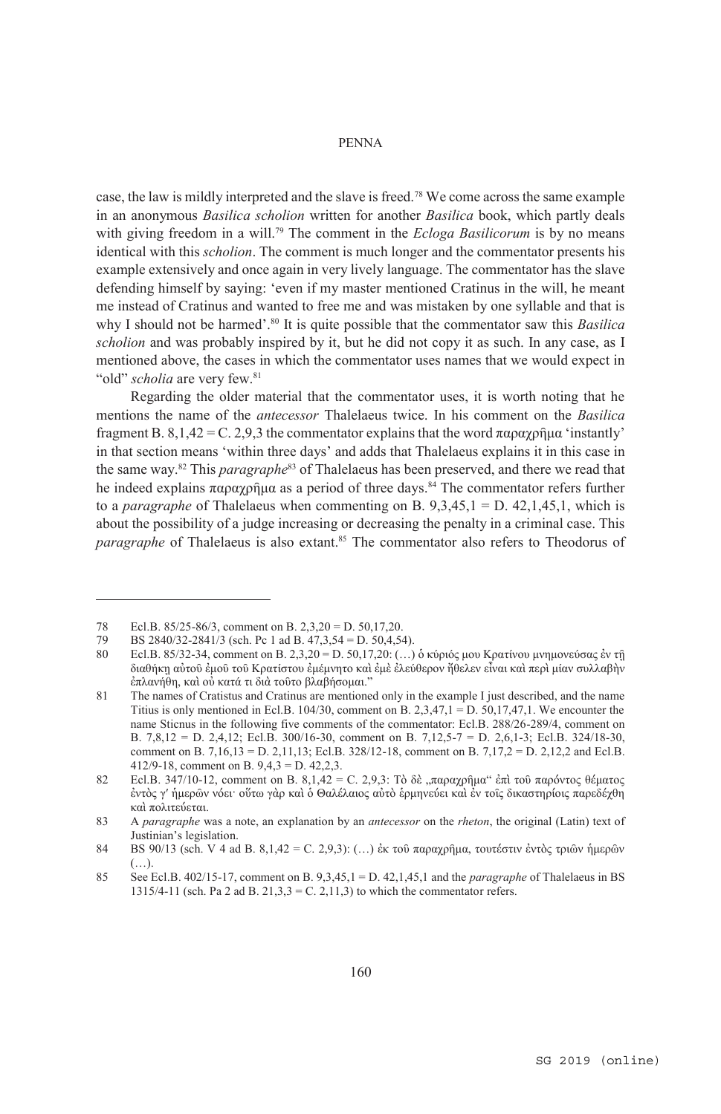case, the law is mildly interpreted and the slave is freed.78 We come across the same example in an anonymous *Basilica scholion* written for another *Basilica* book, which partly deals with giving freedom in a will.<sup>79</sup> The comment in the *Ecloga Basilicorum* is by no means identical with this *scholion*. The comment is much longer and the commentator presents his example extensively and once again in very lively language. The commentator has the slave defending himself by saying: 'even if my master mentioned Cratinus in the will, he meant me instead of Cratinus and wanted to free me and was mistaken by one syllable and that is why I should not be harmed'.<sup>80</sup> It is quite possible that the commentator saw this *Basilica scholion* and was probably inspired by it, but he did not copy it as such. In any case, as I mentioned above, the cases in which the commentator uses names that we would expect in "old" *scholia* are very few.<sup>81</sup>

Regarding the older material that the commentator uses, it is worth noting that he mentions the name of the *antecessor* Thalelaeus twice. In his comment on the *Basilica* fragment B. 8,1,42 = C. 2,9,3 the commentator explains that the word παραχρῆμα 'instantly' in that section means 'within three days' and adds that Thalelaeus explains it in this case in the same way.82 This *paragraphe*83 of Thalelaeus has been preserved, and there we read that he indeed explains παραχρήμα as a period of three days.<sup>84</sup> The commentator refers further to a *paragraphe* of Thalelaeus when commenting on B. 9,3,45,1 = D. 42,1,45,1, which is about the possibility of a judge increasing or decreasing the penalty in a criminal case. This *paragraphe* of Thalelaeus is also extant.<sup>85</sup> The commentator also refers to Theodorus of

<sup>78</sup> Ecl.B. 85/25-86/3, comment on B. 2,3,20 = D. 50,17,20.<br>
79 BS 2840/32-2841/3 (sch. Pc 1 ad B. 47,3,54 = D. 50,4,56

<sup>79</sup> BS 2840/32-2841/3 (sch. Pc 1 ad B.  $47,3,54 = D$ . 50,4,54).<br>80 Ecl B 85/32-34 comment on B. 2 3 20 = D. 50,17,20; (...)

Ecl.B. 85/32-34, comment on B. 2,3,20 = D. 50,17,20: (...) ὁ κύριός μου Κρατίνου μνημονεύσας ἐν τῇ διαθήκῃ αὐτοῦ ἐμοῦ τοῦ Κρατίστου ἐμέμνητο καὶ ἐμὲ ἐλεύθερον ἤθελεν εἶναι καὶ περὶ μίαν συλλαβὴν ἐπλανήθη, καὶ οὐ κατά τι διὰ τοῦτο βλαβήσομαι."

<sup>81</sup> The names of Cratistus and Cratinus are mentioned only in the example I just described, and the name Titius is only mentioned in Ecl.B. 104/30, comment on B. 2,3,47,1 = D. 50,17,47,1. We encounter the name Sticnus in the following five comments of the commentator: Ecl.B. 288/26-289/4, comment on B. 7,8,12 = D. 2,4,12; Ecl.B. 300/16-30, comment on B. 7,12,5-7 = D. 2,6,1-3; Ecl.B. 324/18-30, comment on B. 7,16,13 = D. 2,11,13; Ecl.B. 328/12-18, comment on B. 7,17,2 = D. 2,12,2 and Ecl.B. 412/9-18, comment on B. 9,4,3 = D. 42,2,3.

<sup>82</sup> Ecl.B. 347/10-12, comment on B.  $8.1.42 = C$ . 2.9.3: Τὸ δὲ  $\pi \alpha \alpha \alpha \gamma \rho \hat{\eta} \mu \alpha''$  ἐπὶ τοῦ παρόντος θέματος ἐντὸς γʹ ἡμερῶν νόει· οὕτω γὰρ καὶ ὁ Θαλέλαιος αὐτὸ ἑρμηνεύει καὶ ἐν τοῖς δικαστηρίοις παρεδέχθη καὶ πολιτεύεται.

<sup>83</sup> A *paragraphe* was a note, an explanation by an *antecessor* on the *rheton*, the original (Latin) text of Justinian's legislation.

<sup>84</sup> BS 90/13 (sch. V 4 ad B. 8,1,42 = C. 2,9,3): (...) ἐκ τοῦ παραχρῆμα, τουτέστιν ἐντὸς τριῶν ἡμερῶν (…).

<sup>85</sup> See Ecl.B. 402/15-17, comment on B. 9,3,45,1 = D. 42,1,45,1 and the *paragraphe* of Thalelaeus in BS 1315/4-11 (sch. Pa 2 ad B. 21,3,3 = C. 2,11,3) to which the commentator refers.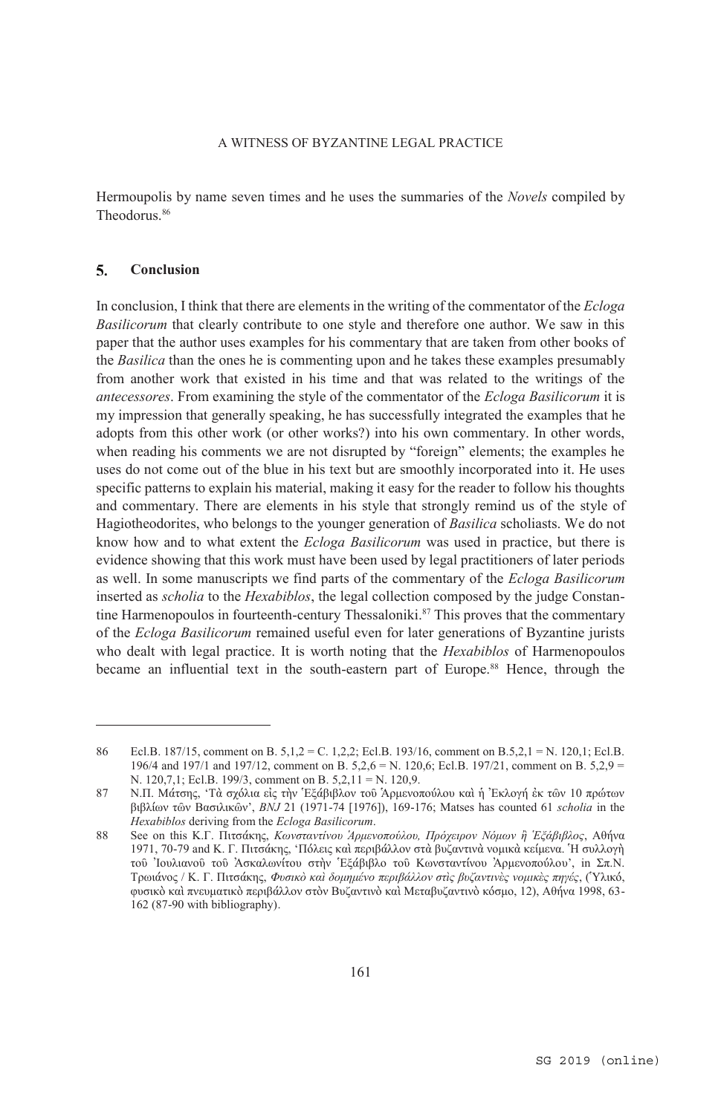Hermoupolis by name seven times and he uses the summaries of the *Novels* compiled by Theodorus.86

### $\overline{\mathbf{S}}$ . **Conclusion**

 $\overline{a}$ 

In conclusion, I think that there are elements in the writing of the commentator of the *Ecloga Basilicorum* that clearly contribute to one style and therefore one author. We saw in this paper that the author uses examples for his commentary that are taken from other books of the *Basilica* than the ones he is commenting upon and he takes these examples presumably from another work that existed in his time and that was related to the writings of the *antecessores*. From examining the style of the commentator of the *Ecloga Basilicorum* it is my impression that generally speaking, he has successfully integrated the examples that he adopts from this other work (or other works?) into his own commentary. In other words, when reading his comments we are not disrupted by "foreign" elements; the examples he uses do not come out of the blue in his text but are smoothly incorporated into it. He uses specific patterns to explain his material, making it easy for the reader to follow his thoughts and commentary. There are elements in his style that strongly remind us of the style of Hagiotheodorites, who belongs to the younger generation of *Basilica* scholiasts. We do not know how and to what extent the *Ecloga Basilicorum* was used in practice, but there is evidence showing that this work must have been used by legal practitioners of later periods as well. In some manuscripts we find parts of the commentary of the *Ecloga Basilicorum* inserted as *scholia* to the *Hexabiblos*, the legal collection composed by the judge Constantine Harmenopoulos in fourteenth-century Thessaloniki.<sup>87</sup> This proves that the commentary of the *Ecloga Basilicorum* remained useful even for later generations of Byzantine jurists who dealt with legal practice. It is worth noting that the *Hexabiblos* of Harmenopoulos became an influential text in the south-eastern part of Europe.<sup>88</sup> Hence, through the

<sup>86</sup> Ecl.B. 187/15, comment on B. 5,1,2 = C. 1,2,2; Ecl.B. 193/16, comment on B.5,2,1 = N. 120,1; Ecl.B. 196/4 and 197/1 and 197/12, comment on B. 5,2,6 = N. 120,6; Ecl.B. 197/21, comment on B. 5,2,9 = N. 120,7,1; Ecl.B. 199/3, comment on B. 5,2,11 = N. 120,9.

<sup>87</sup> Ν.Π. Μάτσης, 'Τὰ σχόλια εἰς τὴν Ἑξάβιβλον τοῦ Ἁρμενοπούλου καὶ ἡ Ἐκλογή ἐκ τῶν 10 πρώτων βιβλίων τῶν Βασιλικῶν', *BNJ* 21 (1971-74 [1976]), 169-176; Matses has counted 61 *scholia* in the *Hexabiblos* deriving from the *Ecloga Basilicorum*.

<sup>88</sup> See on this Κ.Γ. Πιτσάκης, *Κωνσταντίνου Ἁρμενοπούλου, Πρόχειρον Νόμων ἢ Ἑξάβιβλος*, Αθήνα 1971, 70-79 and Κ. Γ. Πιτσάκης, 'Πόλεις καὶ περιβάλλον στὰ βυζαντινὰ νομικὰ κείμενα. Ἡ συλλογὴ τοῦ Ἰουλιανοῦ τοῦ Ἀσκαλωνίτου στὴν Ἑξάβιβλο τοῦ Κωνσταντίνου Ἀρμενοπούλου', in Σπ.Ν. Τρωιάνος / Κ. Γ. Πιτσάκης, *Φυσικὸ καὶ δομημένο περιβάλλον στὶς βυζαντινὲς νομικὲς πηγές*, (Ὑλικό, φυσικὸ καὶ πνευματικὸ περιβάλλον στὸν Βυζαντινὸ καὶ Μεταβυζαντινὸ κόσμο, 12), Αθήνα 1998, 63- 162 (87-90 with bibliography).